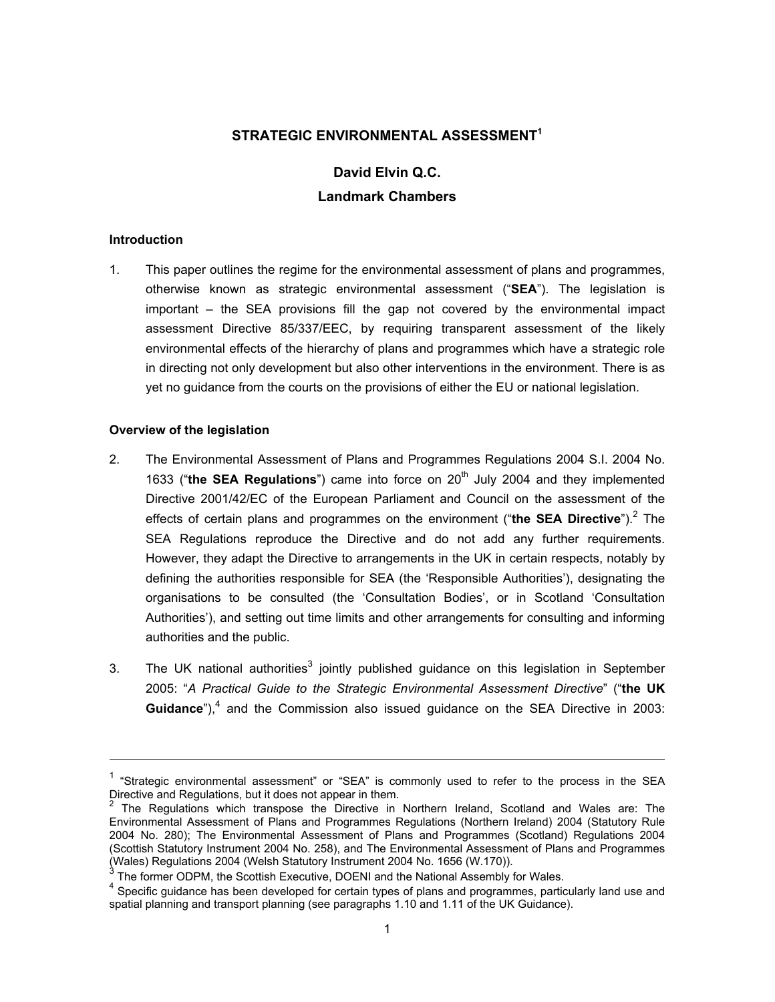## **STRATEGIC ENVIRONMENTAL ASSESSMENT<sup>1</sup>**

# **David Elvin Q.C. Landmark Chambers**

#### **Introduction**

l

1. This paper outlines the regime for the environmental assessment of plans and programmes, otherwise known as strategic environmental assessment ("**SEA**"). The legislation is important – the SEA provisions fill the gap not covered by the environmental impact assessment Directive 85/337/EEC, by requiring transparent assessment of the likely environmental effects of the hierarchy of plans and programmes which have a strategic role in directing not only development but also other interventions in the environment. There is as yet no guidance from the courts on the provisions of either the EU or national legislation.

#### **Overview of the legislation**

- 2. The Environmental Assessment of Plans and Programmes Regulations 2004 S.I. 2004 No. 1633 ("the **SEA Regulations**") came into force on 20<sup>th</sup> July 2004 and they implemented Directive 2001/42/EC of the European Parliament and Council on the assessment of the effects of certain plans and programmes on the environment ("the SEA Directive").<sup>2</sup> The SEA Regulations reproduce the Directive and do not add any further requirements. However, they adapt the Directive to arrangements in the UK in certain respects, notably by defining the authorities responsible for SEA (the 'Responsible Authorities'), designating the organisations to be consulted (the 'Consultation Bodies', or in Scotland 'Consultation Authorities'), and setting out time limits and other arrangements for consulting and informing authorities and the public.
- 3. The UK national authorities<sup>3</sup> jointly published guidance on this legislation in September 2005: "*A Practical Guide to the Strategic Environmental Assessment Directive*" ("**the UK**  Guidance<sup>"</sup>),<sup>4</sup> and the Commission also issued guidance on the SEA Directive in 2003:

<sup>&</sup>lt;sup>1</sup> "Strategic environmental assessment" or "SEA" is commonly used to refer to the process in the SEA

Directive and Regulations, but it does not appear in them.<br><sup>2</sup> The Regulations which transpose the Directive in Northern Ireland, Scotland and Wales are: The Environmental Assessment of Plans and Programmes Regulations (Northern Ireland) 2004 (Statutory Rule 2004 No. 280); The Environmental Assessment of Plans and Programmes (Scotland) Regulations 2004 (Scottish Statutory Instrument 2004 No. 258), and The Environmental Assessment of Plans and Programmes (Wales) Regulations 2004 (Welsh Statutory Instrument 2004 No. 1656 (W.170)). 3

The former ODPM, the Scottish Executive, DOENI and the National Assembly for Wales.

<sup>&</sup>lt;sup>4</sup> Specific guidance has been developed for certain types of plans and programmes, particularly land use and spatial planning and transport planning (see paragraphs 1.10 and 1.11 of the UK Guidance).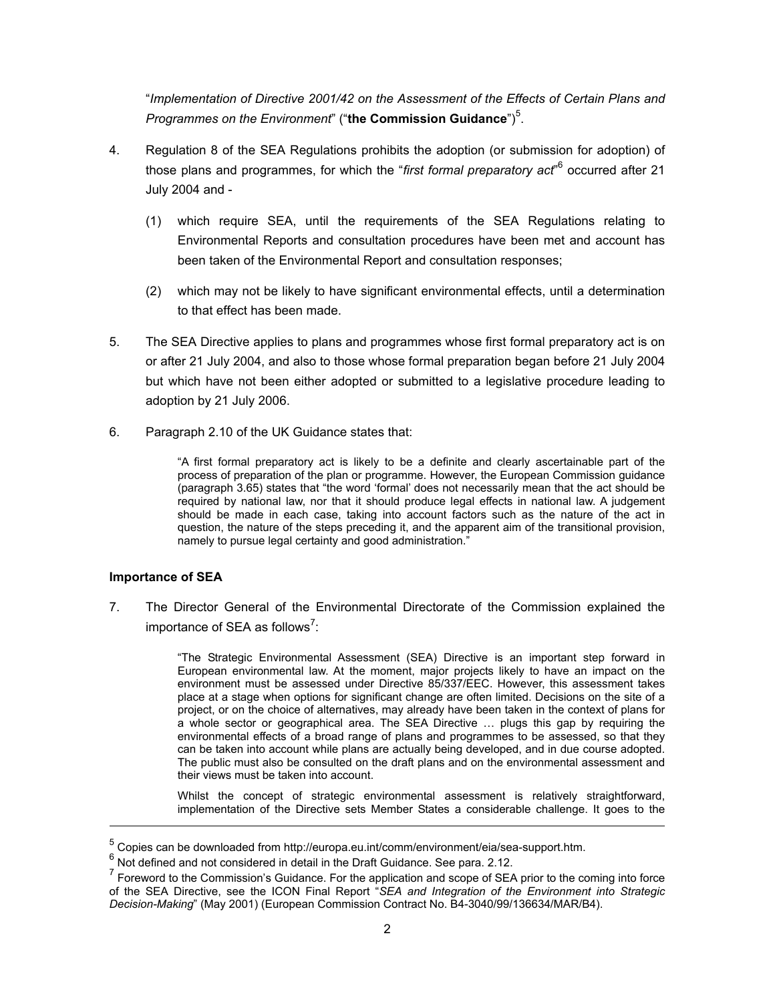"*Implementation of Directive 2001/42 on the Assessment of the Effects of Certain Plans and*  Programmes on the Environment" ("the Commission Guidance")<sup>5</sup>.

- 4. Regulation 8 of the SEA Regulations prohibits the adoption (or submission for adoption) of those plans and programmes, for which the "*first formal preparatory act*"<sup>6</sup> occurred after 21 July 2004 and -
	- (1) which require SEA, until the requirements of the SEA Regulations relating to Environmental Reports and consultation procedures have been met and account has been taken of the Environmental Report and consultation responses;
	- (2) which may not be likely to have significant environmental effects, until a determination to that effect has been made.
- 5. The SEA Directive applies to plans and programmes whose first formal preparatory act is on or after 21 July 2004, and also to those whose formal preparation began before 21 July 2004 but which have not been either adopted or submitted to a legislative procedure leading to adoption by 21 July 2006.
- 6. Paragraph 2.10 of the UK Guidance states that:

"A first formal preparatory act is likely to be a definite and clearly ascertainable part of the process of preparation of the plan or programme. However, the European Commission guidance (paragraph 3.65) states that "the word 'formal' does not necessarily mean that the act should be required by national law, nor that it should produce legal effects in national law. A judgement should be made in each case, taking into account factors such as the nature of the act in question, the nature of the steps preceding it, and the apparent aim of the transitional provision, namely to pursue legal certainty and good administration."

## **Importance of SEA**

l

7. The Director General of the Environmental Directorate of the Commission explained the importance of SEA as follows<sup>7</sup>:

> "The Strategic Environmental Assessment (SEA) Directive is an important step forward in European environmental law. At the moment, major projects likely to have an impact on the environment must be assessed under Directive 85/337/EEC. However, this assessment takes place at a stage when options for significant change are often limited. Decisions on the site of a project, or on the choice of alternatives, may already have been taken in the context of plans for a whole sector or geographical area. The SEA Directive … plugs this gap by requiring the environmental effects of a broad range of plans and programmes to be assessed, so that they can be taken into account while plans are actually being developed, and in due course adopted. The public must also be consulted on the draft plans and on the environmental assessment and their views must be taken into account.

> Whilst the concept of strategic environmental assessment is relatively straightforward, implementation of the Directive sets Member States a considerable challenge. It goes to the

<sup>&</sup>lt;sup>5</sup> Copies can be downloaded from http://europa.eu.int/comm/environment/eia/sea-support.htm.

 $^6$  Not defined and not considered in detail in the Draft Guidance. See para. 2.12.

 $<sup>7</sup>$  Foreword to the Commission's Guidance. For the application and scope of SEA prior to the coming into force</sup> of the SEA Directive, see the ICON Final Report "*SEA and Integration of the Environment into Strategic Decision-Making*" (May 2001) (European Commission Contract No. B4-3040/99/136634/MAR/B4).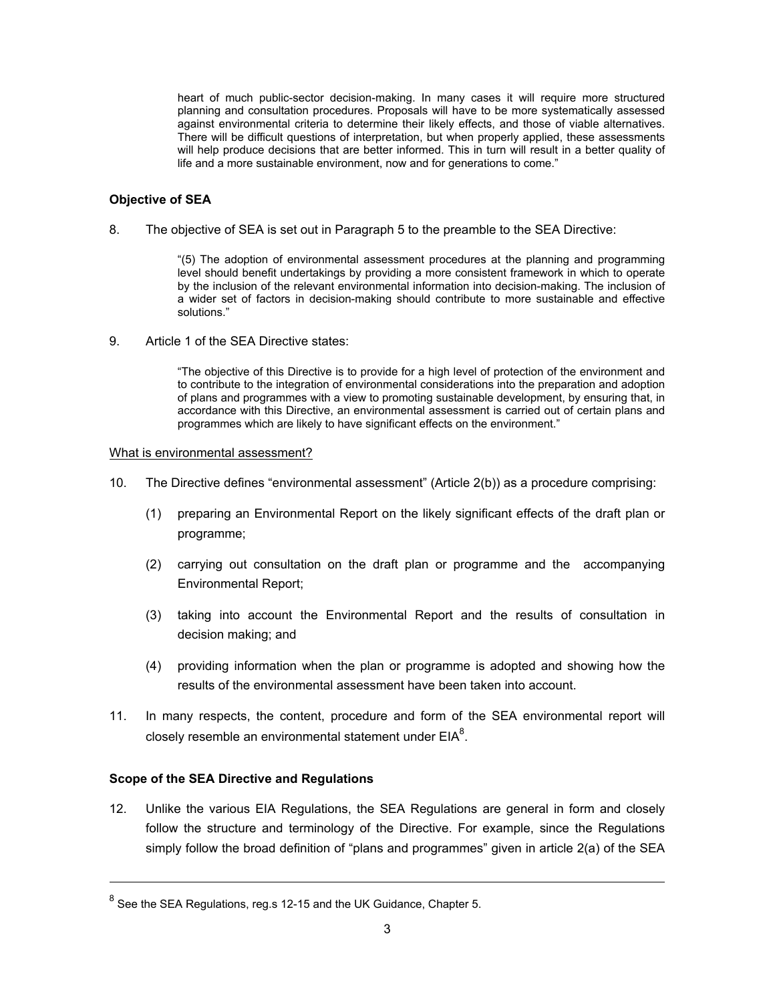heart of much public-sector decision-making. In many cases it will require more structured planning and consultation procedures. Proposals will have to be more systematically assessed against environmental criteria to determine their likely effects, and those of viable alternatives. There will be difficult questions of interpretation, but when properly applied, these assessments will help produce decisions that are better informed. This in turn will result in a better quality of life and a more sustainable environment, now and for generations to come."

#### **Objective of SEA**

8. The objective of SEA is set out in Paragraph 5 to the preamble to the SEA Directive:

"(5) The adoption of environmental assessment procedures at the planning and programming level should benefit undertakings by providing a more consistent framework in which to operate by the inclusion of the relevant environmental information into decision-making. The inclusion of a wider set of factors in decision-making should contribute to more sustainable and effective solutions."

9. Article 1 of the SEA Directive states:

"The objective of this Directive is to provide for a high level of protection of the environment and to contribute to the integration of environmental considerations into the preparation and adoption of plans and programmes with a view to promoting sustainable development, by ensuring that, in accordance with this Directive, an environmental assessment is carried out of certain plans and programmes which are likely to have significant effects on the environment."

#### What is environmental assessment?

- 10. The Directive defines "environmental assessment" (Article 2(b)) as a procedure comprising:
	- (1) preparing an Environmental Report on the likely significant effects of the draft plan or programme;
	- (2) carrying out consultation on the draft plan or programme and the accompanying Environmental Report;
	- (3) taking into account the Environmental Report and the results of consultation in decision making; and
	- (4) providing information when the plan or programme is adopted and showing how the results of the environmental assessment have been taken into account.
- 11. In many respects, the content, procedure and form of the SEA environmental report will closely resemble an environmental statement under  $EIA<sup>8</sup>$ .

#### **Scope of the SEA Directive and Regulations**

l

12. Unlike the various EIA Regulations, the SEA Regulations are general in form and closely follow the structure and terminology of the Directive. For example, since the Regulations simply follow the broad definition of "plans and programmes" given in article 2(a) of the SEA

 $^8$  See the SEA Regulations, reg.s 12-15 and the UK Guidance, Chapter 5.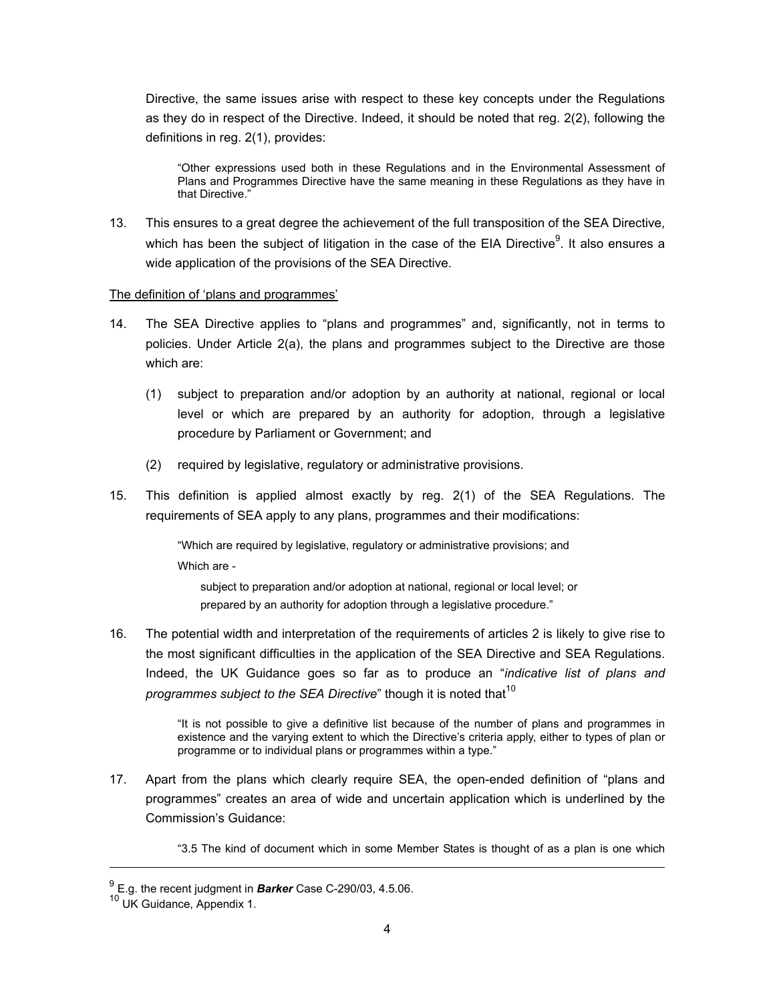Directive, the same issues arise with respect to these key concepts under the Regulations as they do in respect of the Directive. Indeed, it should be noted that reg. 2(2), following the definitions in reg. 2(1), provides:

"Other expressions used both in these Regulations and in the Environmental Assessment of Plans and Programmes Directive have the same meaning in these Regulations as they have in that Directive."

13. This ensures to a great degree the achievement of the full transposition of the SEA Directive, which has been the subject of litigation in the case of the EIA Directive $9$ . It also ensures a wide application of the provisions of the SEA Directive.

#### The definition of 'plans and programmes'

- 14. The SEA Directive applies to "plans and programmes" and, significantly, not in terms to policies. Under Article 2(a), the plans and programmes subject to the Directive are those which are:
	- (1) subject to preparation and/or adoption by an authority at national, regional or local level or which are prepared by an authority for adoption, through a legislative procedure by Parliament or Government; and
	- (2) required by legislative, regulatory or administrative provisions.
- 15. This definition is applied almost exactly by reg. 2(1) of the SEA Regulations. The requirements of SEA apply to any plans, programmes and their modifications:

"Which are required by legislative, regulatory or administrative provisions; and Which are -

subject to preparation and/or adoption at national, regional or local level; or prepared by an authority for adoption through a legislative procedure."

16. The potential width and interpretation of the requirements of articles 2 is likely to give rise to the most significant difficulties in the application of the SEA Directive and SEA Regulations. Indeed, the UK Guidance goes so far as to produce an "*indicative list of plans and programmes subject to the SEA Directive*" though it is noted that<sup>10</sup>

> "It is not possible to give a definitive list because of the number of plans and programmes in existence and the varying extent to which the Directive's criteria apply, either to types of plan or programme or to individual plans or programmes within a type."

17. Apart from the plans which clearly require SEA, the open-ended definition of "plans and programmes" creates an area of wide and uncertain application which is underlined by the Commission's Guidance:

"3.5 The kind of document which in some Member States is thought of as a plan is one which

<sup>9</sup> E.g. the recent judgment in *Barker* Case C-290/03, 4.5.06.

<sup>10</sup> UK Guidance, Appendix 1.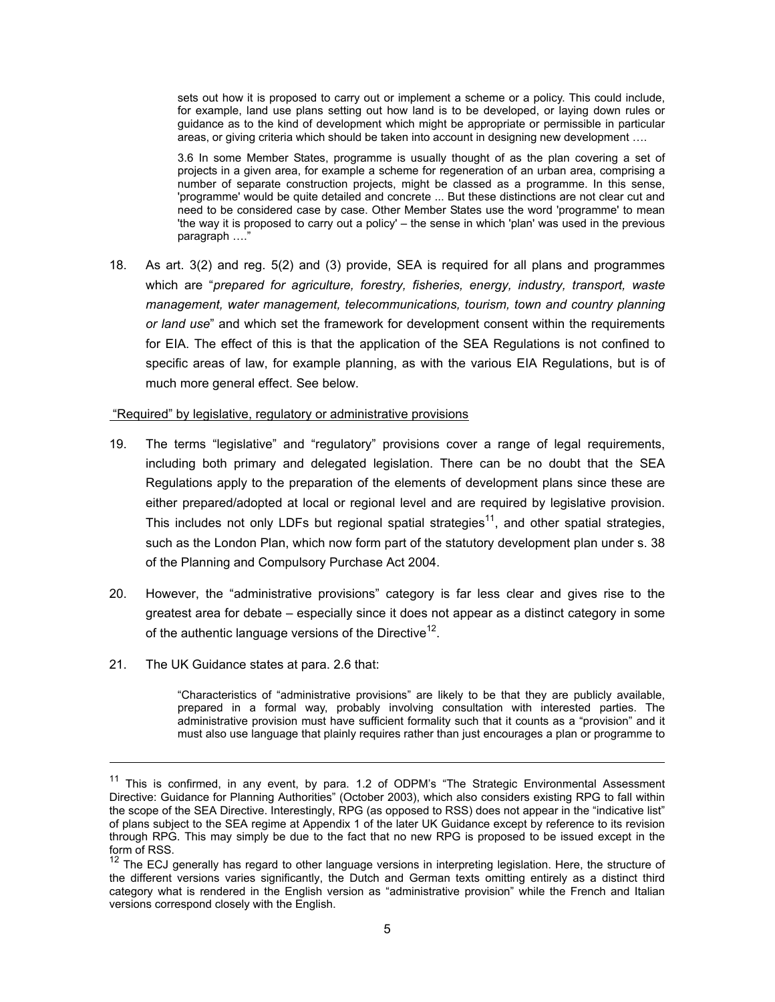sets out how it is proposed to carry out or implement a scheme or a policy. This could include, for example, land use plans setting out how land is to be developed, or laying down rules or guidance as to the kind of development which might be appropriate or permissible in particular areas, or giving criteria which should be taken into account in designing new development ….

3.6 In some Member States, programme is usually thought of as the plan covering a set of projects in a given area, for example a scheme for regeneration of an urban area, comprising a number of separate construction projects, might be classed as a programme. In this sense, 'programme' would be quite detailed and concrete ... But these distinctions are not clear cut and need to be considered case by case. Other Member States use the word 'programme' to mean 'the way it is proposed to carry out a policy' – the sense in which 'plan' was used in the previous paragraph …."

18. As art. 3(2) and reg. 5(2) and (3) provide, SEA is required for all plans and programmes which are "*prepared for agriculture, forestry, fisheries, energy, industry, transport, waste management, water management, telecommunications, tourism, town and country planning or land use*" and which set the framework for development consent within the requirements for EIA. The effect of this is that the application of the SEA Regulations is not confined to specific areas of law, for example planning, as with the various EIA Regulations, but is of much more general effect. See below.

#### "Required" by legislative, regulatory or administrative provisions

- 19. The terms "legislative" and "regulatory" provisions cover a range of legal requirements, including both primary and delegated legislation. There can be no doubt that the SEA Regulations apply to the preparation of the elements of development plans since these are either prepared/adopted at local or regional level and are required by legislative provision. This includes not only LDFs but regional spatial strategies<sup>11</sup>, and other spatial strategies, such as the London Plan, which now form part of the statutory development plan under s. 38 of the Planning and Compulsory Purchase Act 2004.
- 20. However, the "administrative provisions" category is far less clear and gives rise to the greatest area for debate – especially since it does not appear as a distinct category in some of the authentic language versions of the Directive<sup>12</sup>.
- 21. The UK Guidance states at para. 2.6 that:

l

"Characteristics of "administrative provisions" are likely to be that they are publicly available, prepared in a formal way, probably involving consultation with interested parties. The administrative provision must have sufficient formality such that it counts as a "provision" and it must also use language that plainly requires rather than just encourages a plan or programme to

<sup>&</sup>lt;sup>11</sup> This is confirmed, in any event, by para. 1.2 of ODPM's "The Strategic Environmental Assessment Directive: Guidance for Planning Authorities" (October 2003), which also considers existing RPG to fall within the scope of the SEA Directive. Interestingly, RPG (as opposed to RSS) does not appear in the "indicative list" of plans subject to the SEA regime at Appendix 1 of the later UK Guidance except by reference to its revision through RPG. This may simply be due to the fact that no new RPG is proposed to be issued except in the form of RSS.

 $12$  The ECJ generally has regard to other language versions in interpreting legislation. Here, the structure of the different versions varies significantly, the Dutch and German texts omitting entirely as a distinct third category what is rendered in the English version as "administrative provision" while the French and Italian versions correspond closely with the English.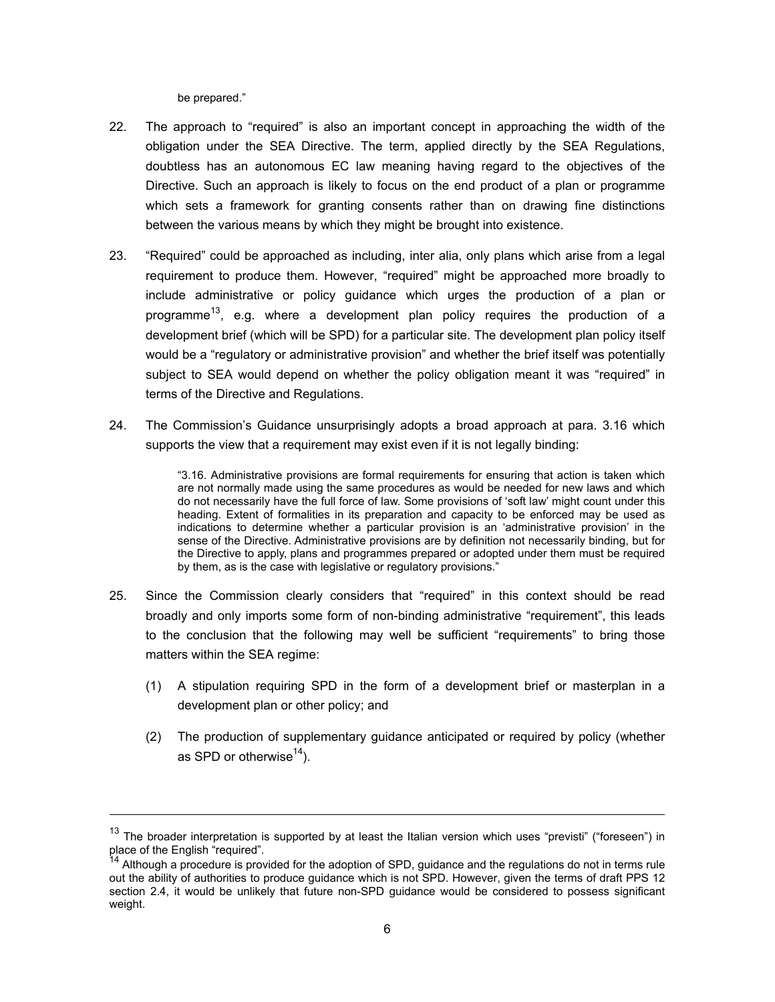be prepared."

l

- 22. The approach to "required" is also an important concept in approaching the width of the obligation under the SEA Directive. The term, applied directly by the SEA Regulations, doubtless has an autonomous EC law meaning having regard to the objectives of the Directive. Such an approach is likely to focus on the end product of a plan or programme which sets a framework for granting consents rather than on drawing fine distinctions between the various means by which they might be brought into existence.
- 23. "Required" could be approached as including, inter alia, only plans which arise from a legal requirement to produce them. However, "required" might be approached more broadly to include administrative or policy guidance which urges the production of a plan or programme<sup>13</sup>, e.g. where a development plan policy requires the production of a development brief (which will be SPD) for a particular site. The development plan policy itself would be a "regulatory or administrative provision" and whether the brief itself was potentially subject to SEA would depend on whether the policy obligation meant it was "required" in terms of the Directive and Regulations.
- 24. The Commission's Guidance unsurprisingly adopts a broad approach at para. 3.16 which supports the view that a requirement may exist even if it is not legally binding:

"3.16. Administrative provisions are formal requirements for ensuring that action is taken which are not normally made using the same procedures as would be needed for new laws and which do not necessarily have the full force of law. Some provisions of 'soft law' might count under this heading. Extent of formalities in its preparation and capacity to be enforced may be used as indications to determine whether a particular provision is an 'administrative provision' in the sense of the Directive. Administrative provisions are by definition not necessarily binding, but for the Directive to apply, plans and programmes prepared or adopted under them must be required by them, as is the case with legislative or regulatory provisions."

- 25. Since the Commission clearly considers that "required" in this context should be read broadly and only imports some form of non-binding administrative "requirement", this leads to the conclusion that the following may well be sufficient "requirements" to bring those matters within the SEA regime:
	- (1) A stipulation requiring SPD in the form of a development brief or masterplan in a development plan or other policy; and
	- (2) The production of supplementary guidance anticipated or required by policy (whether as SPD or otherwise $^{14}$ ).

 $13$  The broader interpretation is supported by at least the Italian version which uses "previsti" ("foreseen") in place of the English "required".

<sup>14</sup> Although a procedure is provided for the adoption of SPD, guidance and the regulations do not in terms rule out the ability of authorities to produce guidance which is not SPD. However, given the terms of draft PPS 12 section 2.4, it would be unlikely that future non-SPD guidance would be considered to possess significant weight.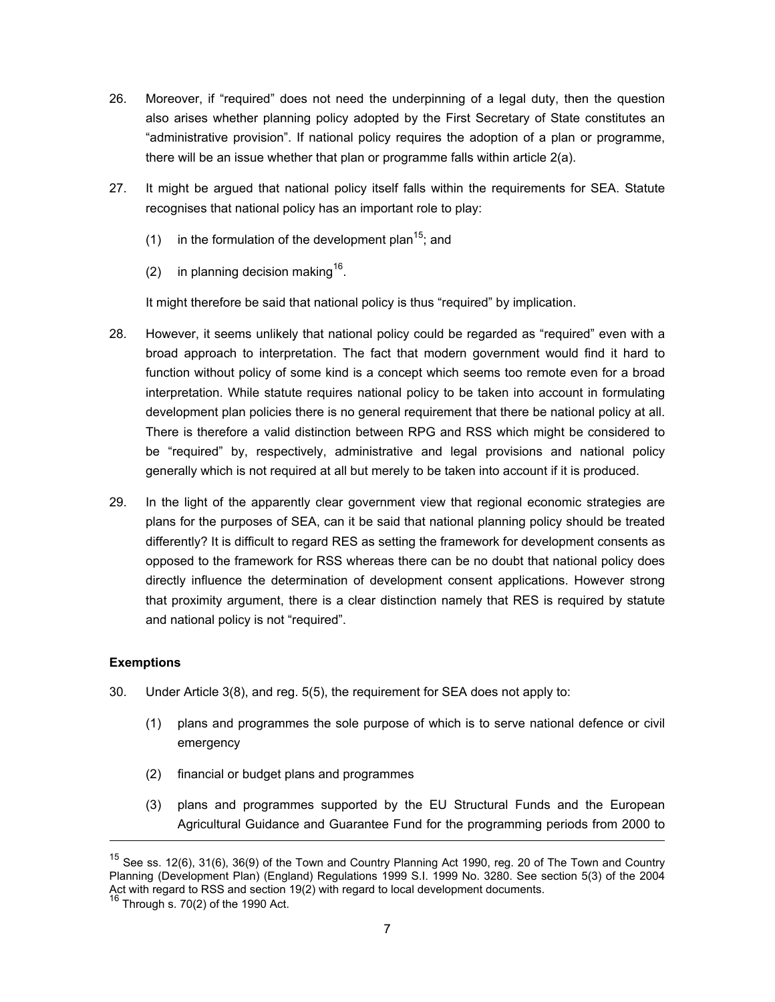- 26. Moreover, if "required" does not need the underpinning of a legal duty, then the question also arises whether planning policy adopted by the First Secretary of State constitutes an "administrative provision". If national policy requires the adoption of a plan or programme, there will be an issue whether that plan or programme falls within article 2(a).
- 27. It might be argued that national policy itself falls within the requirements for SEA. Statute recognises that national policy has an important role to play:
	- (1) in the formulation of the development plan<sup>15</sup>; and
	- (2) in planning decision making<sup>16</sup>.

It might therefore be said that national policy is thus "required" by implication.

- 28. However, it seems unlikely that national policy could be regarded as "required" even with a broad approach to interpretation. The fact that modern government would find it hard to function without policy of some kind is a concept which seems too remote even for a broad interpretation. While statute requires national policy to be taken into account in formulating development plan policies there is no general requirement that there be national policy at all. There is therefore a valid distinction between RPG and RSS which might be considered to be "required" by, respectively, administrative and legal provisions and national policy generally which is not required at all but merely to be taken into account if it is produced.
- 29. In the light of the apparently clear government view that regional economic strategies are plans for the purposes of SEA, can it be said that national planning policy should be treated differently? It is difficult to regard RES as setting the framework for development consents as opposed to the framework for RSS whereas there can be no doubt that national policy does directly influence the determination of development consent applications. However strong that proximity argument, there is a clear distinction namely that RES is required by statute and national policy is not "required".

## **Exemptions**

- 30. Under Article 3(8), and reg. 5(5), the requirement for SEA does not apply to:
	- (1) plans and programmes the sole purpose of which is to serve national defence or civil emergency
	- (2) financial or budget plans and programmes
	- (3) plans and programmes supported by the EU Structural Funds and the European Agricultural Guidance and Guarantee Fund for the programming periods from 2000 to

<sup>&</sup>lt;sup>15</sup> See ss. 12(6), 31(6), 36(9) of the Town and Country Planning Act 1990, reg. 20 of The Town and Country Planning (Development Plan) (England) Regulations 1999 S.I. 1999 No. 3280. See section 5(3) of the 2004 Act with regard to RSS and section 19(2) with regard to local development documents.

 $16$  Through s. 70(2) of the 1990 Act.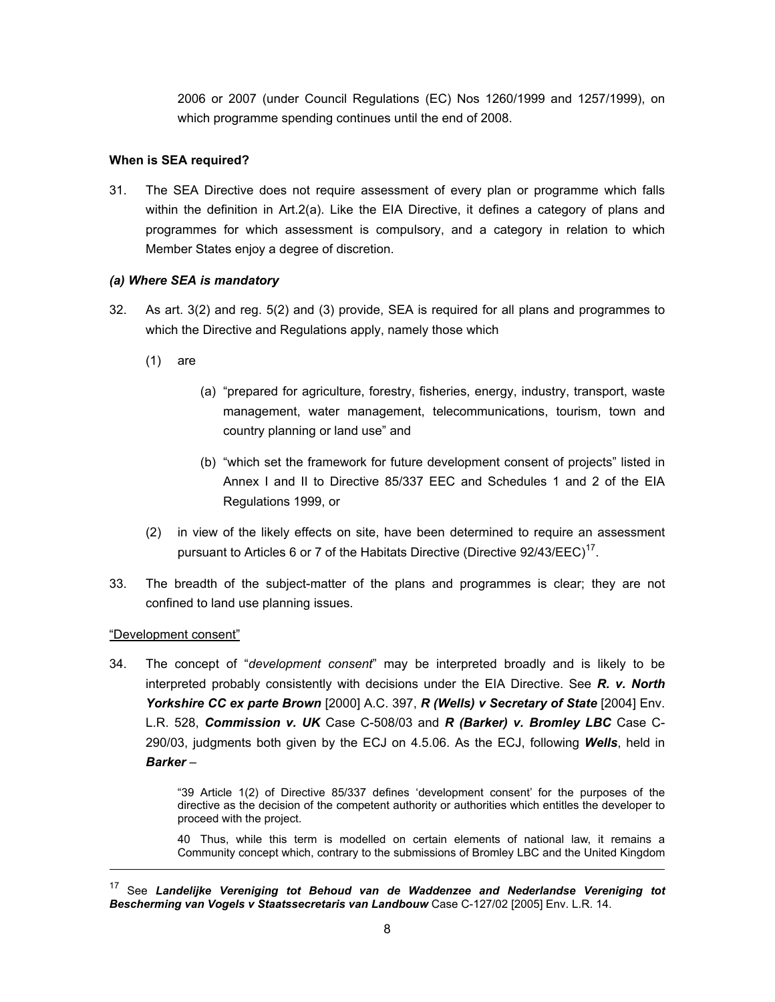2006 or 2007 (under Council Regulations (EC) Nos 1260/1999 and 1257/1999), on which programme spending continues until the end of 2008.

## **When is SEA required?**

31. The SEA Directive does not require assessment of every plan or programme which falls within the definition in Art.2(a). Like the EIA Directive, it defines a category of plans and programmes for which assessment is compulsory, and a category in relation to which Member States enjoy a degree of discretion.

## *(a) Where SEA is mandatory*

- 32. As art. 3(2) and reg. 5(2) and (3) provide, SEA is required for all plans and programmes to which the Directive and Regulations apply, namely those which
	- (1) are
- (a) "prepared for agriculture, forestry, fisheries, energy, industry, transport, waste management, water management, telecommunications, tourism, town and country planning or land use" and
- (b) "which set the framework for future development consent of projects" listed in Annex I and II to Directive 85/337 EEC and Schedules 1 and 2 of the EIA Regulations 1999, or
- (2) in view of the likely effects on site, have been determined to require an assessment pursuant to Articles 6 or 7 of the Habitats Directive (Directive  $92/43/EEC$ )<sup>17</sup>.
- 33. The breadth of the subject-matter of the plans and programmes is clear; they are not confined to land use planning issues.

## "Development consent"

l

34. The concept of "*development consent*" may be interpreted broadly and is likely to be interpreted probably consistently with decisions under the EIA Directive. See *R. v. North Yorkshire CC ex parte Brown* [2000] A.C. 397, *R (Wells) v Secretary of State* [2004] Env. L.R. 528, *Commission v. UK* Case C-508/03 and *R (Barker) v. Bromley LBC* Case C-290/03, judgments both given by the ECJ on 4.5.06. As the ECJ, following *Wells*, held in *Barker* –

> "39 Article 1(2) of Directive 85/337 defines 'development consent' for the purposes of the directive as the decision of the competent authority or authorities which entitles the developer to proceed with the project.

> 40 Thus, while this term is modelled on certain elements of national law, it remains a Community concept which, contrary to the submissions of Bromley LBC and the United Kingdom

<sup>17</sup> See *Landelijke Vereniging tot Behoud van de Waddenzee and Nederlandse Vereniging tot Bescherming van Vogels v Staatssecretaris van Landbouw* Case C-127/02 [2005] Env. L.R. 14.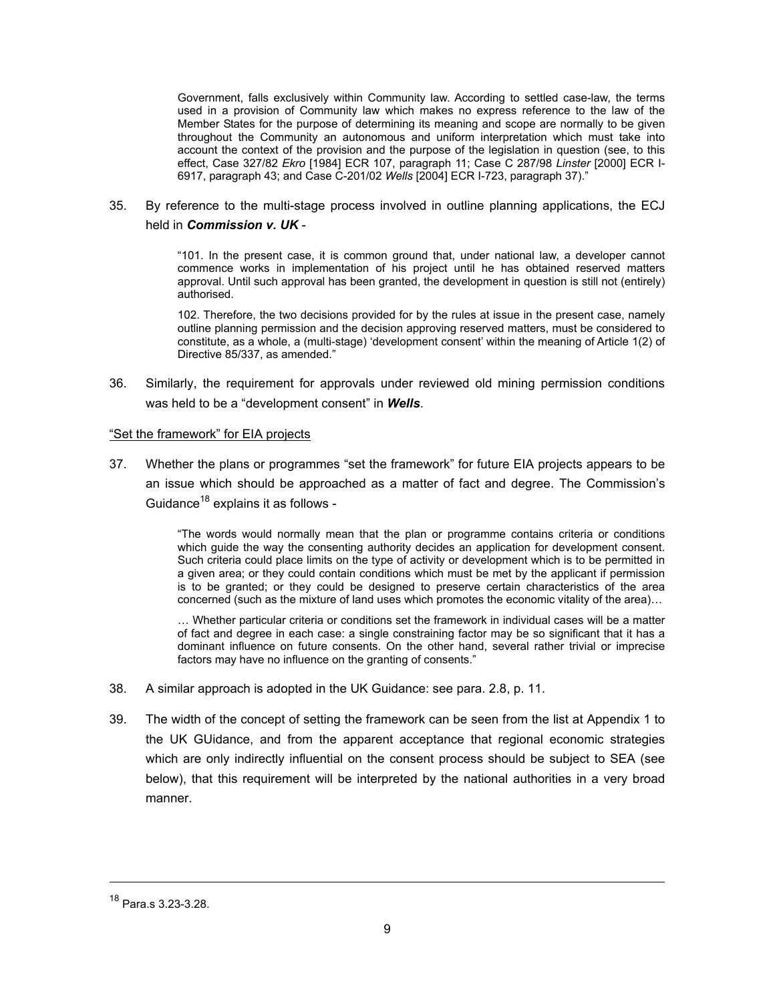Government, falls exclusively within Community law. According to settled case-law, the terms used in a provision of Community law which makes no express reference to the law of the Member States for the purpose of determining its meaning and scope are normally to be given throughout the Community an autonomous and uniform interpretation which must take into account the context of the provision and the purpose of the legislation in question (see, to this effect, Case 327/82 *Ekro* [1984] ECR 107, paragraph 11; Case C 287/98 *Linster* [2000] ECR I-6917, paragraph 43; and Case C-201/02 *Wells* [2004] ECR I-723, paragraph 37)."

35. By reference to the multi-stage process involved in outline planning applications, the ECJ held in *Commission v. UK* -

> "101. In the present case, it is common ground that, under national law, a developer cannot commence works in implementation of his project until he has obtained reserved matters approval. Until such approval has been granted, the development in question is still not (entirely) authorised.

> 102. Therefore, the two decisions provided for by the rules at issue in the present case, namely outline planning permission and the decision approving reserved matters, must be considered to constitute, as a whole, a (multi-stage) 'development consent' within the meaning of Article 1(2) of Directive 85/337, as amended."

36. Similarly, the requirement for approvals under reviewed old mining permission conditions was held to be a "development consent" in *Wells*.

#### "Set the framework" for EIA projects

37. Whether the plans or programmes "set the framework" for future EIA projects appears to be an issue which should be approached as a matter of fact and degree. The Commission's Guidance<sup>18</sup> explains it as follows -

> "The words would normally mean that the plan or programme contains criteria or conditions which guide the way the consenting authority decides an application for development consent. Such criteria could place limits on the type of activity or development which is to be permitted in a given area; or they could contain conditions which must be met by the applicant if permission is to be granted; or they could be designed to preserve certain characteristics of the area concerned (such as the mixture of land uses which promotes the economic vitality of the area)…

> … Whether particular criteria or conditions set the framework in individual cases will be a matter of fact and degree in each case: a single constraining factor may be so significant that it has a dominant influence on future consents. On the other hand, several rather trivial or imprecise factors may have no influence on the granting of consents."

- 38. A similar approach is adopted in the UK Guidance: see para. 2.8, p. 11.
- 39. The width of the concept of setting the framework can be seen from the list at Appendix 1 to the UK GUidance, and from the apparent acceptance that regional economic strategies which are only indirectly influential on the consent process should be subject to SEA (see below), that this requirement will be interpreted by the national authorities in a very broad manner.

<sup>18</sup> Para.s 3.23-3.28.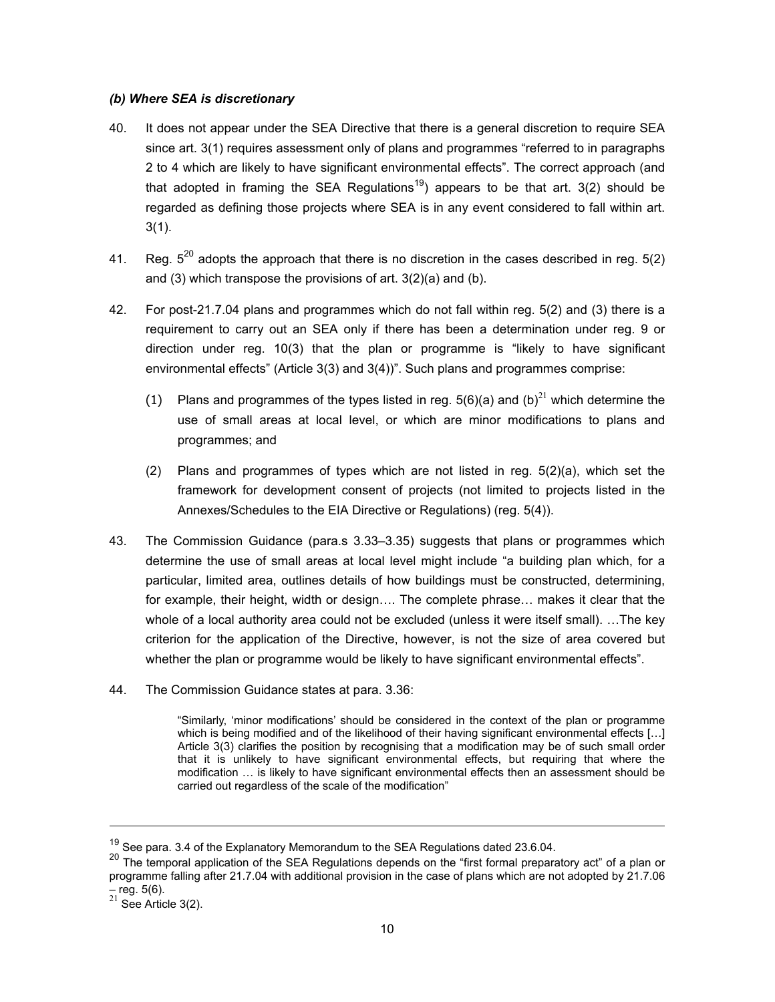#### *(b) Where SEA is discretionary*

- 40. It does not appear under the SEA Directive that there is a general discretion to require SEA since art. 3(1) requires assessment only of plans and programmes "referred to in paragraphs 2 to 4 which are likely to have significant environmental effects". The correct approach (and that adopted in framing the SEA Regulations<sup>19</sup>) appears to be that art. 3(2) should be regarded as defining those projects where SEA is in any event considered to fall within art. 3(1).
- 41. Reg.  $5^{20}$  adopts the approach that there is no discretion in the cases described in reg.  $5(2)$ and (3) which transpose the provisions of art. 3(2)(a) and (b).
- 42. For post-21.7.04 plans and programmes which do not fall within reg. 5(2) and (3) there is a requirement to carry out an SEA only if there has been a determination under reg. 9 or direction under reg. 10(3) that the plan or programme is "likely to have significant environmental effects" (Article 3(3) and 3(4))". Such plans and programmes comprise:
	- (1) Plans and programmes of the types listed in reg.  $5(6)(a)$  and (b)<sup>21</sup> which determine the use of small areas at local level, or which are minor modifications to plans and programmes; and
	- (2) Plans and programmes of types which are not listed in reg. 5(2)(a), which set the framework for development consent of projects (not limited to projects listed in the Annexes/Schedules to the EIA Directive or Regulations) (reg. 5(4)).
- 43. The Commission Guidance (para.s 3.33–3.35) suggests that plans or programmes which determine the use of small areas at local level might include "a building plan which, for a particular, limited area, outlines details of how buildings must be constructed, determining, for example, their height, width or design…. The complete phrase… makes it clear that the whole of a local authority area could not be excluded (unless it were itself small). ... The key criterion for the application of the Directive, however, is not the size of area covered but whether the plan or programme would be likely to have significant environmental effects".
- 44. The Commission Guidance states at para. 3.36:

"Similarly, 'minor modifications' should be considered in the context of the plan or programme which is being modified and of the likelihood of their having significant environmental effects [...] Article 3(3) clarifies the position by recognising that a modification may be of such small order that it is unlikely to have significant environmental effects, but requiring that where the modification … is likely to have significant environmental effects then an assessment should be carried out regardless of the scale of the modification"

 $19$  See para. 3.4 of the Explanatory Memorandum to the SEA Regulations dated 23.6.04.

<sup>&</sup>lt;sup>20</sup> The temporal application of the SEA Regulations depends on the "first formal preparatory act" of a plan or programme falling after 21.7.04 with additional provision in the case of plans which are not adopted by 21.7.06 – reg. 5(6).

 $^{21}$  See Article 3(2).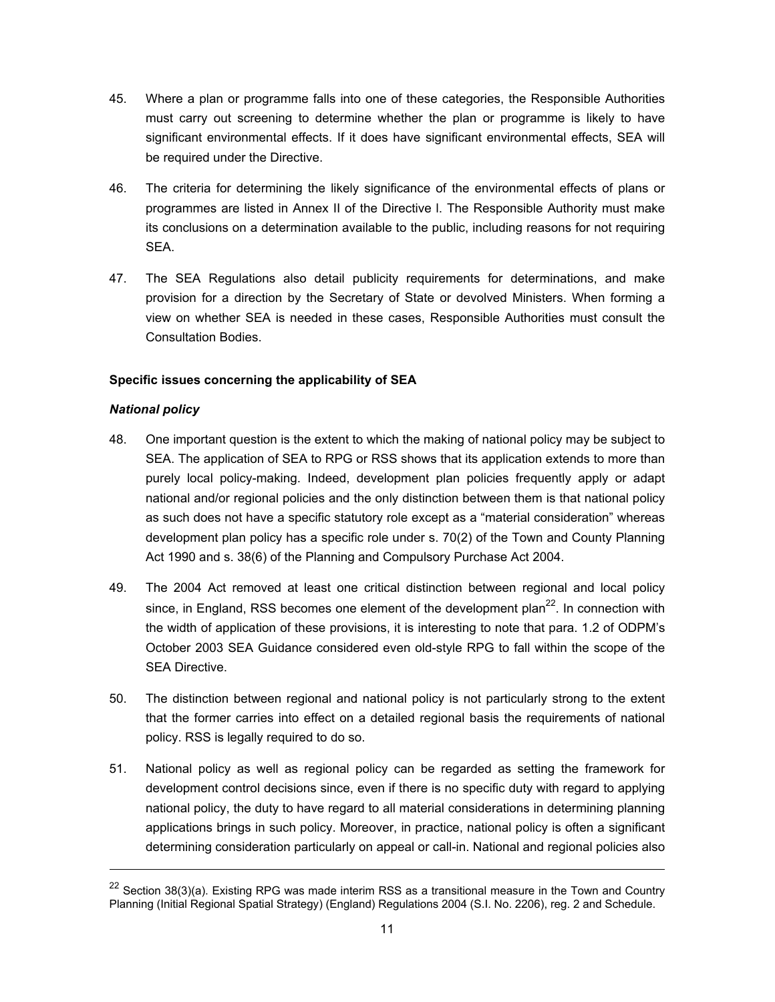- 45. Where a plan or programme falls into one of these categories, the Responsible Authorities must carry out screening to determine whether the plan or programme is likely to have significant environmental effects. If it does have significant environmental effects, SEA will be required under the Directive.
- 46. The criteria for determining the likely significance of the environmental effects of plans or programmes are listed in Annex II of the Directive l. The Responsible Authority must make its conclusions on a determination available to the public, including reasons for not requiring SEA.
- 47. The SEA Regulations also detail publicity requirements for determinations, and make provision for a direction by the Secretary of State or devolved Ministers. When forming a view on whether SEA is needed in these cases, Responsible Authorities must consult the Consultation Bodies.

## **Specific issues concerning the applicability of SEA**

## *National policy*

- 48. One important question is the extent to which the making of national policy may be subject to SEA. The application of SEA to RPG or RSS shows that its application extends to more than purely local policy-making. Indeed, development plan policies frequently apply or adapt national and/or regional policies and the only distinction between them is that national policy as such does not have a specific statutory role except as a "material consideration" whereas development plan policy has a specific role under s. 70(2) of the Town and County Planning Act 1990 and s. 38(6) of the Planning and Compulsory Purchase Act 2004.
- 49. The 2004 Act removed at least one critical distinction between regional and local policy since, in England, RSS becomes one element of the development plan<sup>22</sup>. In connection with the width of application of these provisions, it is interesting to note that para. 1.2 of ODPM's October 2003 SEA Guidance considered even old-style RPG to fall within the scope of the SEA Directive.
- 50. The distinction between regional and national policy is not particularly strong to the extent that the former carries into effect on a detailed regional basis the requirements of national policy. RSS is legally required to do so.
- 51. National policy as well as regional policy can be regarded as setting the framework for development control decisions since, even if there is no specific duty with regard to applying national policy, the duty to have regard to all material considerations in determining planning applications brings in such policy. Moreover, in practice, national policy is often a significant determining consideration particularly on appeal or call-in. National and regional policies also

<sup>&</sup>lt;sup>22</sup> Section 38(3)(a). Existing RPG was made interim RSS as a transitional measure in the Town and Country Planning (Initial Regional Spatial Strategy) (England) Regulations 2004 (S.I. No. 2206), reg. 2 and Schedule.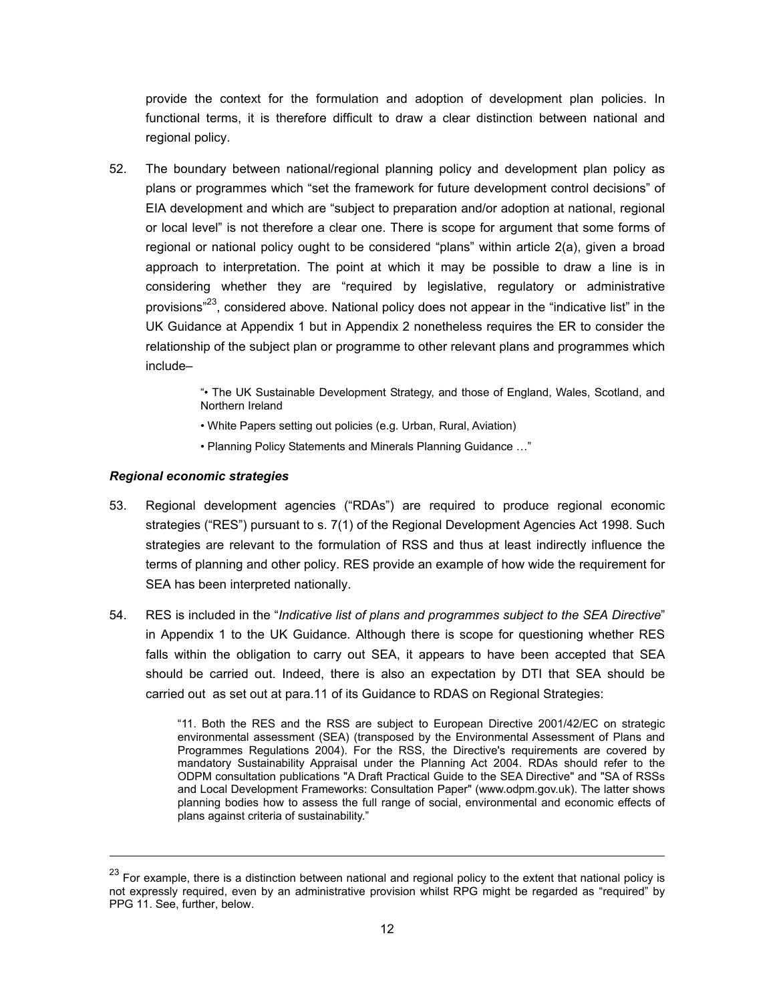provide the context for the formulation and adoption of development plan policies. In functional terms, it is therefore difficult to draw a clear distinction between national and regional policy.

52. The boundary between national/regional planning policy and development plan policy as plans or programmes which "set the framework for future development control decisions" of EIA development and which are "subject to preparation and/or adoption at national, regional or local level" is not therefore a clear one. There is scope for argument that some forms of regional or national policy ought to be considered "plans" within article 2(a), given a broad approach to interpretation. The point at which it may be possible to draw a line is in considering whether they are "required by legislative, regulatory or administrative provisions $^{23}$ , considered above. National policy does not appear in the "indicative list" in the UK Guidance at Appendix 1 but in Appendix 2 nonetheless requires the ER to consider the relationship of the subject plan or programme to other relevant plans and programmes which include–

> "• The UK Sustainable Development Strategy, and those of England, Wales, Scotland, and Northern Ireland

- White Papers setting out policies (e.g. Urban, Rural, Aviation)
- Planning Policy Statements and Minerals Planning Guidance …"

#### *Regional economic strategies*

l

- 53. Regional development agencies ("RDAs") are required to produce regional economic strategies ("RES") pursuant to s. 7(1) of the Regional Development Agencies Act 1998. Such strategies are relevant to the formulation of RSS and thus at least indirectly influence the terms of planning and other policy. RES provide an example of how wide the requirement for SEA has been interpreted nationally.
- 54. RES is included in the "*Indicative list of plans and programmes subject to the SEA Directive*" in Appendix 1 to the UK Guidance. Although there is scope for questioning whether RES falls within the obligation to carry out SEA, it appears to have been accepted that SEA should be carried out. Indeed, there is also an expectation by DTI that SEA should be carried out as set out at para.11 of its Guidance to RDAS on Regional Strategies:

"11. Both the RES and the RSS are subject to European Directive 2001/42/EC on strategic environmental assessment (SEA) (transposed by the Environmental Assessment of Plans and Programmes Regulations 2004). For the RSS, the Directive's requirements are covered by mandatory Sustainability Appraisal under the Planning Act 2004. RDAs should refer to the ODPM consultation publications "A Draft Practical Guide to the SEA Directive" and "SA of RSSs and Local Development Frameworks: Consultation Paper" (www.odpm.gov.uk). The latter shows planning bodies how to assess the full range of social, environmental and economic effects of plans against criteria of sustainability."

<sup>&</sup>lt;sup>23</sup> For example, there is a distinction between national and regional policy to the extent that national policy is not expressly required, even by an administrative provision whilst RPG might be regarded as "required" by PPG 11. See, further, below.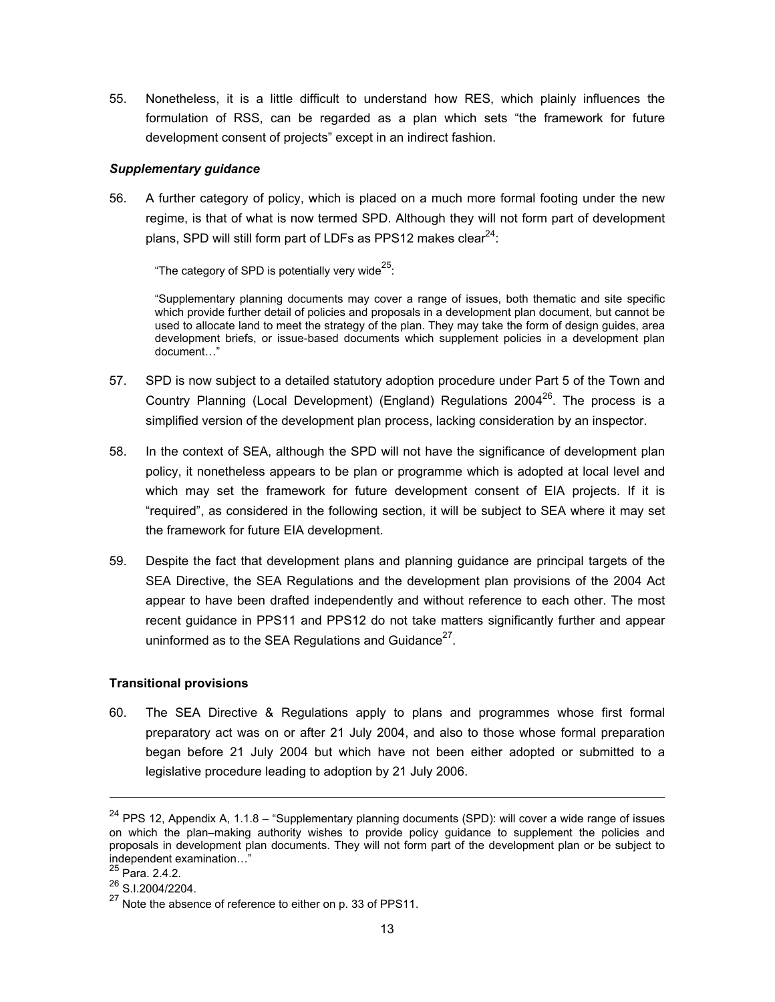55. Nonetheless, it is a little difficult to understand how RES, which plainly influences the formulation of RSS, can be regarded as a plan which sets "the framework for future development consent of projects" except in an indirect fashion.

#### *Supplementary guidance*

56. A further category of policy, which is placed on a much more formal footing under the new regime, is that of what is now termed SPD. Although they will not form part of development plans, SPD will still form part of LDFs as PPS12 makes clear $^{24}$ :

"The category of SPD is potentially very wide $^{25}$ :

"Supplementary planning documents may cover a range of issues, both thematic and site specific which provide further detail of policies and proposals in a development plan document, but cannot be used to allocate land to meet the strategy of the plan. They may take the form of design guides, area development briefs, or issue-based documents which supplement policies in a development plan document…"

- 57. SPD is now subject to a detailed statutory adoption procedure under Part 5 of the Town and Country Planning (Local Development) (England) Regulations 2004 $^{26}$ . The process is a simplified version of the development plan process, lacking consideration by an inspector.
- 58. In the context of SEA, although the SPD will not have the significance of development plan policy, it nonetheless appears to be plan or programme which is adopted at local level and which may set the framework for future development consent of EIA projects. If it is "required", as considered in the following section, it will be subject to SEA where it may set the framework for future EIA development.
- 59. Despite the fact that development plans and planning guidance are principal targets of the SEA Directive, the SEA Regulations and the development plan provisions of the 2004 Act appear to have been drafted independently and without reference to each other. The most recent guidance in PPS11 and PPS12 do not take matters significantly further and appear uninformed as to the SEA Regulations and Guidance<sup>27</sup>.

## **Transitional provisions**

60. The SEA Directive & Regulations apply to plans and programmes whose first formal preparatory act was on or after 21 July 2004, and also to those whose formal preparation began before 21 July 2004 but which have not been either adopted or submitted to a legislative procedure leading to adoption by 21 July 2006.

 $24$  PPS 12, Appendix A, 1.1.8 – "Supplementary planning documents (SPD): will cover a wide range of issues on which the plan–making authority wishes to provide policy guidance to supplement the policies and proposals in development plan documents. They will not form part of the development plan or be subject to independent examination…"

<sup>25</sup> Para. 2.4.2.

 $^{26}$  S.I.2004/2204.

<sup>&</sup>lt;sup>27</sup> Note the absence of reference to either on p. 33 of PPS11.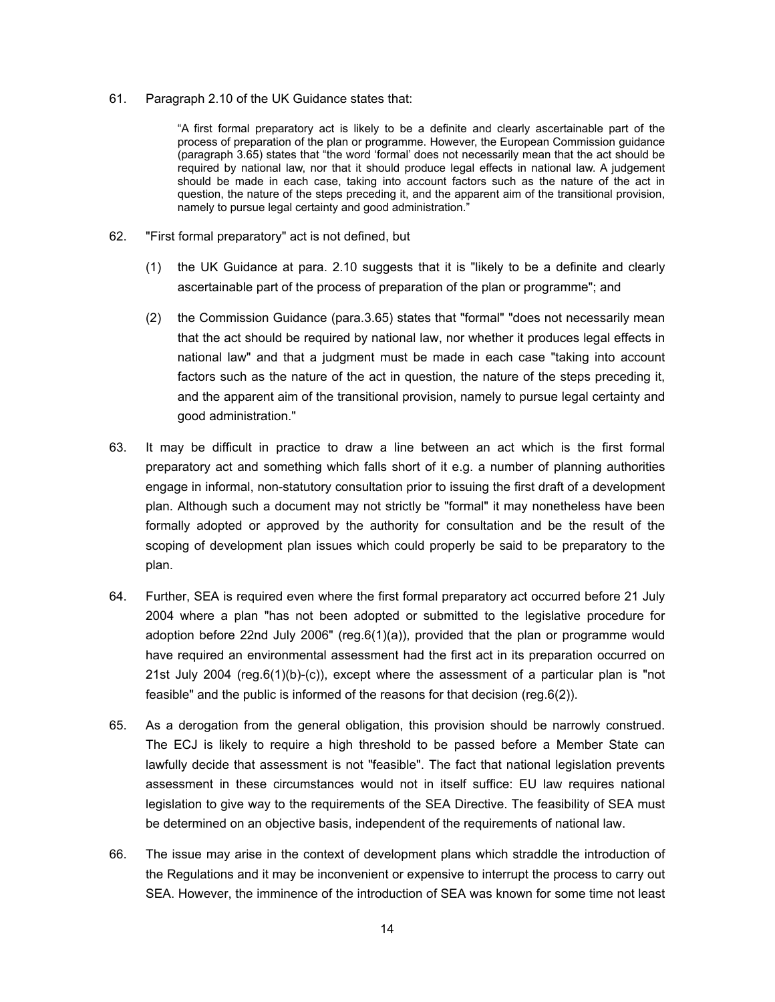#### 61. Paragraph 2.10 of the UK Guidance states that:

"A first formal preparatory act is likely to be a definite and clearly ascertainable part of the process of preparation of the plan or programme. However, the European Commission guidance (paragraph 3.65) states that "the word 'formal' does not necessarily mean that the act should be required by national law, nor that it should produce legal effects in national law. A judgement should be made in each case, taking into account factors such as the nature of the act in question, the nature of the steps preceding it, and the apparent aim of the transitional provision, namely to pursue legal certainty and good administration."

- 62. "First formal preparatory" act is not defined, but
	- (1) the UK Guidance at para. 2.10 suggests that it is "likely to be a definite and clearly ascertainable part of the process of preparation of the plan or programme"; and
	- (2) the Commission Guidance (para.3.65) states that "formal" "does not necessarily mean that the act should be required by national law, nor whether it produces legal effects in national law" and that a judgment must be made in each case "taking into account factors such as the nature of the act in question, the nature of the steps preceding it, and the apparent aim of the transitional provision, namely to pursue legal certainty and good administration."
- 63. It may be difficult in practice to draw a line between an act which is the first formal preparatory act and something which falls short of it e.g. a number of planning authorities engage in informal, non-statutory consultation prior to issuing the first draft of a development plan. Although such a document may not strictly be "formal" it may nonetheless have been formally adopted or approved by the authority for consultation and be the result of the scoping of development plan issues which could properly be said to be preparatory to the plan.
- 64. Further, SEA is required even where the first formal preparatory act occurred before 21 July 2004 where a plan "has not been adopted or submitted to the legislative procedure for adoption before 22nd July 2006" (reg.6(1)(a)), provided that the plan or programme would have required an environmental assessment had the first act in its preparation occurred on 21st July 2004 (reg.6(1)(b)-(c)), except where the assessment of a particular plan is "not feasible" and the public is informed of the reasons for that decision (reg.6(2)).
- 65. As a derogation from the general obligation, this provision should be narrowly construed. The ECJ is likely to require a high threshold to be passed before a Member State can lawfully decide that assessment is not "feasible". The fact that national legislation prevents assessment in these circumstances would not in itself suffice: EU law requires national legislation to give way to the requirements of the SEA Directive. The feasibility of SEA must be determined on an objective basis, independent of the requirements of national law.
- 66. The issue may arise in the context of development plans which straddle the introduction of the Regulations and it may be inconvenient or expensive to interrupt the process to carry out SEA. However, the imminence of the introduction of SEA was known for some time not least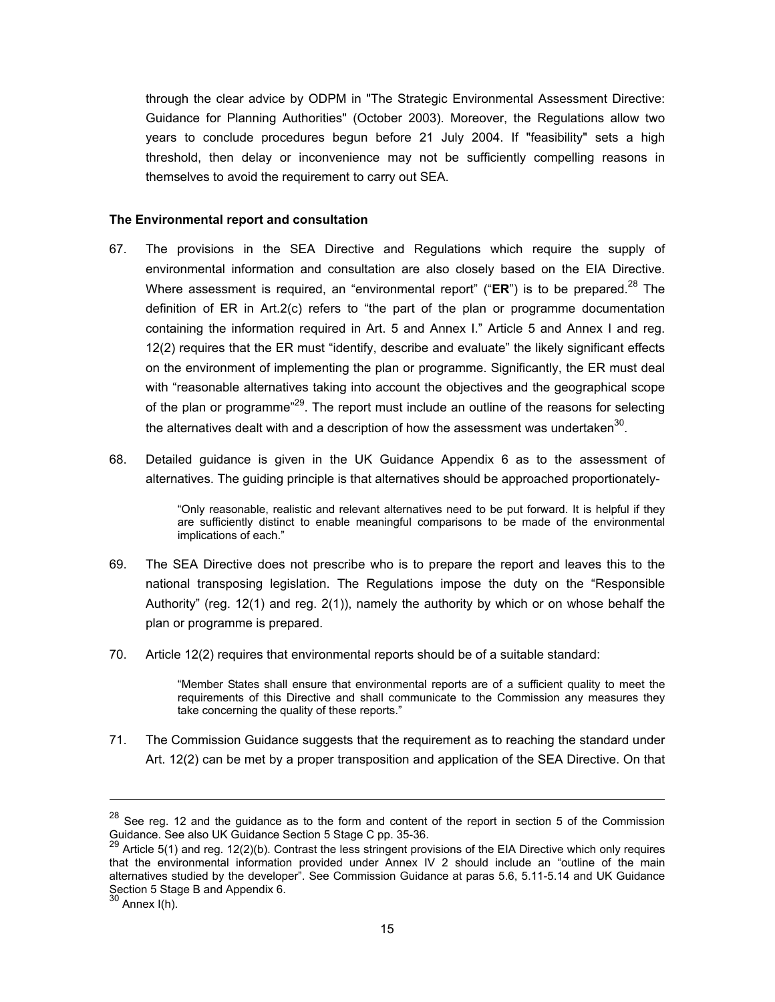through the clear advice by ODPM in "The Strategic Environmental Assessment Directive: Guidance for Planning Authorities" (October 2003). Moreover, the Regulations allow two years to conclude procedures begun before 21 July 2004. If "feasibility" sets a high threshold, then delay or inconvenience may not be sufficiently compelling reasons in themselves to avoid the requirement to carry out SEA.

#### **The Environmental report and consultation**

- 67. The provisions in the SEA Directive and Regulations which require the supply of environmental information and consultation are also closely based on the EIA Directive. Where assessment is required, an "environmental report" ("ER") is to be prepared.<sup>28</sup> The definition of ER in Art.2(c) refers to "the part of the plan or programme documentation containing the information required in Art. 5 and Annex I." Article 5 and Annex I and reg. 12(2) requires that the ER must "identify, describe and evaluate" the likely significant effects on the environment of implementing the plan or programme. Significantly, the ER must deal with "reasonable alternatives taking into account the objectives and the geographical scope of the plan or programme<sup> $29$ </sup>. The report must include an outline of the reasons for selecting the alternatives dealt with and a description of how the assessment was undertaken $30$ .
- 68. Detailed guidance is given in the UK Guidance Appendix 6 as to the assessment of alternatives. The guiding principle is that alternatives should be approached proportionately-

"Only reasonable, realistic and relevant alternatives need to be put forward. It is helpful if they are sufficiently distinct to enable meaningful comparisons to be made of the environmental implications of each."

- 69. The SEA Directive does not prescribe who is to prepare the report and leaves this to the national transposing legislation. The Regulations impose the duty on the "Responsible Authority" (reg. 12(1) and reg. 2(1)), namely the authority by which or on whose behalf the plan or programme is prepared.
- 70. Article 12(2) requires that environmental reports should be of a suitable standard:

"Member States shall ensure that environmental reports are of a sufficient quality to meet the requirements of this Directive and shall communicate to the Commission any measures they take concerning the quality of these reports."

71. The Commission Guidance suggests that the requirement as to reaching the standard under Art. 12(2) can be met by a proper transposition and application of the SEA Directive. On that

 $28$  See reg. 12 and the guidance as to the form and content of the report in section 5 of the Commission Guidance. See also UK Guidance Section 5 Stage C pp. 35-36.

<sup>&</sup>lt;sup>29</sup> Article 5(1) and reg. 12(2)(b). Contrast the less stringent provisions of the EIA Directive which only requires that the environmental information provided under Annex IV 2 should include an "outline of the main alternatives studied by the developer". See Commission Guidance at paras 5.6, 5.11-5.14 and UK Guidance Section 5 Stage B and Appendix 6.

 $30$  Annex I(h).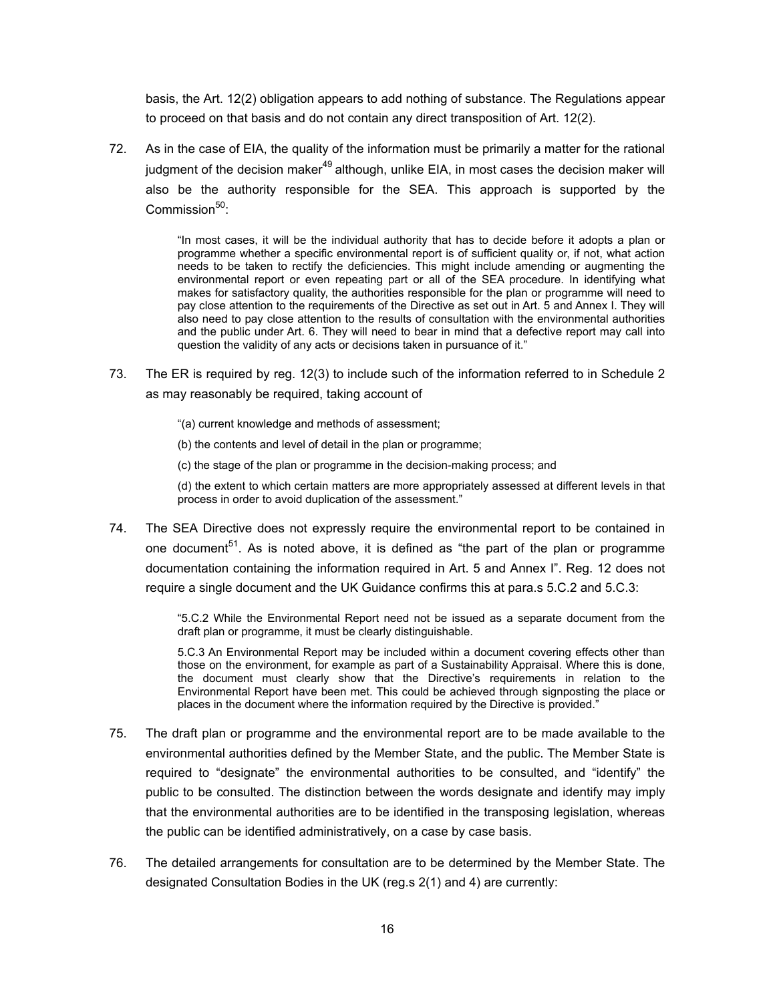basis, the Art. 12(2) obligation appears to add nothing of substance. The Regulations appear to proceed on that basis and do not contain any direct transposition of Art. 12(2).

72. As in the case of EIA, the quality of the information must be primarily a matter for the rational iudgment of the decision maker $49$  although, unlike EIA, in most cases the decision maker will also be the authority responsible for the SEA. This approach is supported by the Commission<sup>50</sup>:

> "In most cases, it will be the individual authority that has to decide before it adopts a plan or programme whether a specific environmental report is of sufficient quality or, if not, what action needs to be taken to rectify the deficiencies. This might include amending or augmenting the environmental report or even repeating part or all of the SEA procedure. In identifying what makes for satisfactory quality, the authorities responsible for the plan or programme will need to pay close attention to the requirements of the Directive as set out in Art. 5 and Annex I. They will also need to pay close attention to the results of consultation with the environmental authorities and the public under Art. 6. They will need to bear in mind that a defective report may call into question the validity of any acts or decisions taken in pursuance of it."

73. The ER is required by reg. 12(3) to include such of the information referred to in Schedule 2 as may reasonably be required, taking account of

"(a) current knowledge and methods of assessment;

- (b) the contents and level of detail in the plan or programme;
- (c) the stage of the plan or programme in the decision-making process; and

(d) the extent to which certain matters are more appropriately assessed at different levels in that process in order to avoid duplication of the assessment."

74. The SEA Directive does not expressly require the environmental report to be contained in one document<sup>51</sup>. As is noted above, it is defined as "the part of the plan or programme documentation containing the information required in Art. 5 and Annex I". Reg. 12 does not require a single document and the UK Guidance confirms this at para.s 5.C.2 and 5.C.3:

> "5.C.2 While the Environmental Report need not be issued as a separate document from the draft plan or programme, it must be clearly distinguishable.

> 5.C.3 An Environmental Report may be included within a document covering effects other than those on the environment, for example as part of a Sustainability Appraisal. Where this is done, the document must clearly show that the Directive's requirements in relation to the Environmental Report have been met. This could be achieved through signposting the place or places in the document where the information required by the Directive is provided."

- 75. The draft plan or programme and the environmental report are to be made available to the environmental authorities defined by the Member State, and the public. The Member State is required to "designate" the environmental authorities to be consulted, and "identify" the public to be consulted. The distinction between the words designate and identify may imply that the environmental authorities are to be identified in the transposing legislation, whereas the public can be identified administratively, on a case by case basis.
- 76. The detailed arrangements for consultation are to be determined by the Member State. The designated Consultation Bodies in the UK (reg.s 2(1) and 4) are currently: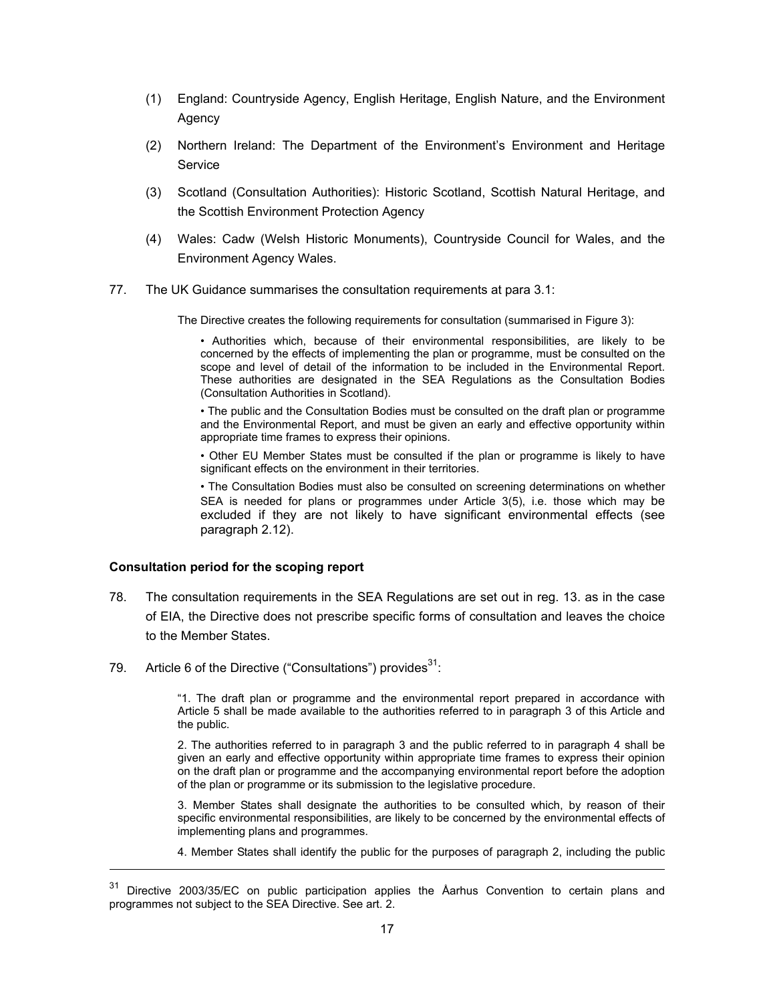- (1) England: Countryside Agency, English Heritage, English Nature, and the Environment Agency
- (2) Northern Ireland: The Department of the Environment's Environment and Heritage Service
- (3) Scotland (Consultation Authorities): Historic Scotland, Scottish Natural Heritage, and the Scottish Environment Protection Agency
- (4) Wales: Cadw (Welsh Historic Monuments), Countryside Council for Wales, and the Environment Agency Wales.
- 77. The UK Guidance summarises the consultation requirements at para 3.1:

The Directive creates the following requirements for consultation (summarised in Figure 3):

• Authorities which, because of their environmental responsibilities, are likely to be concerned by the effects of implementing the plan or programme, must be consulted on the scope and level of detail of the information to be included in the Environmental Report. These authorities are designated in the SEA Regulations as the Consultation Bodies (Consultation Authorities in Scotland).

• The public and the Consultation Bodies must be consulted on the draft plan or programme and the Environmental Report, and must be given an early and effective opportunity within appropriate time frames to express their opinions.

• Other EU Member States must be consulted if the plan or programme is likely to have significant effects on the environment in their territories.

• The Consultation Bodies must also be consulted on screening determinations on whether SEA is needed for plans or programmes under Article 3(5), i.e. those which may be excluded if they are not likely to have significant environmental effects (see paragraph 2.12).

#### **Consultation period for the scoping report**

l

- 78. The consultation requirements in the SEA Regulations are set out in reg. 13. as in the case of EIA, the Directive does not prescribe specific forms of consultation and leaves the choice to the Member States.
- 79. Article 6 of the Directive ("Consultations") provides $^{31}$ :

"1. The draft plan or programme and the environmental report prepared in accordance with Article 5 shall be made available to the authorities referred to in paragraph 3 of this Article and the public.

2. The authorities referred to in paragraph 3 and the public referred to in paragraph 4 shall be given an early and effective opportunity within appropriate time frames to express their opinion on the draft plan or programme and the accompanying environmental report before the adoption of the plan or programme or its submission to the legislative procedure.

3. Member States shall designate the authorities to be consulted which, by reason of their specific environmental responsibilities, are likely to be concerned by the environmental effects of implementing plans and programmes.

4. Member States shall identify the public for the purposes of paragraph 2, including the public

<sup>&</sup>lt;sup>31</sup> Directive 2003/35/EC on public participation applies the Åarhus Convention to certain plans and programmes not subject to the SEA Directive. See art. 2.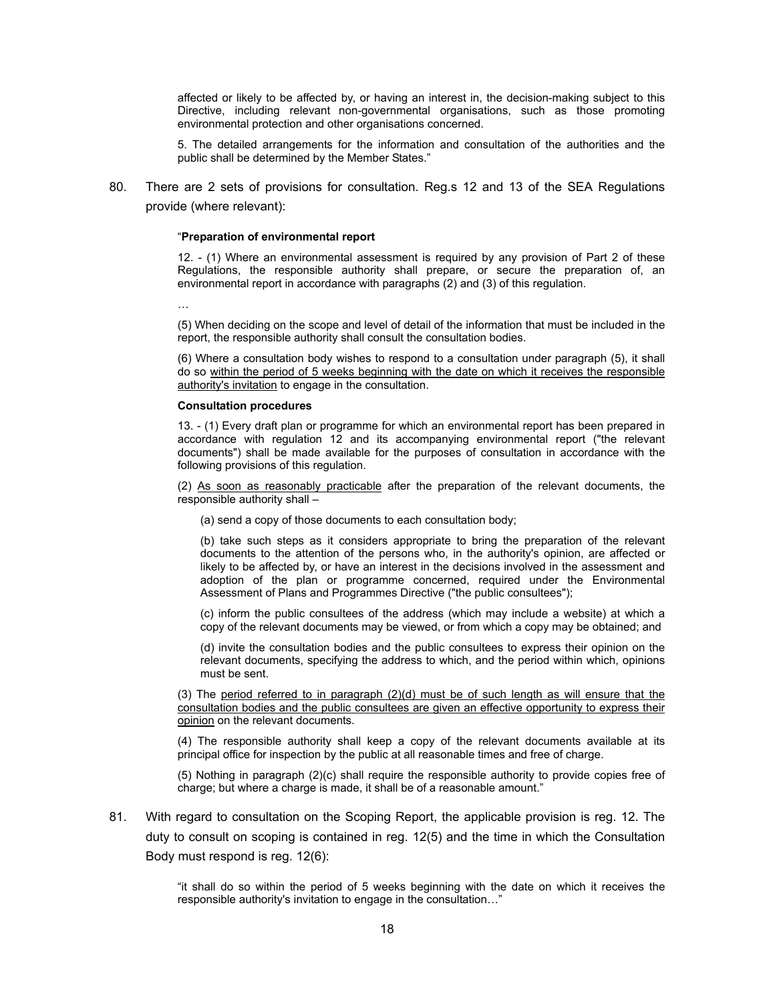affected or likely to be affected by, or having an interest in, the decision-making subject to this Directive, including relevant non-governmental organisations, such as those promoting environmental protection and other organisations concerned.

5. The detailed arrangements for the information and consultation of the authorities and the public shall be determined by the Member States."

80. There are 2 sets of provisions for consultation. Reg.s 12 and 13 of the SEA Regulations provide (where relevant):

#### "**Preparation of environmental report**

12. - (1) Where an environmental assessment is required by any provision of Part 2 of these Regulations, the responsible authority shall prepare, or secure the preparation of, an environmental report in accordance with paragraphs (2) and (3) of this regulation.

…

(5) When deciding on the scope and level of detail of the information that must be included in the report, the responsible authority shall consult the consultation bodies.

(6) Where a consultation body wishes to respond to a consultation under paragraph (5), it shall do so within the period of 5 weeks beginning with the date on which it receives the responsible authority's invitation to engage in the consultation.

#### **Consultation procedures**

13. - (1) Every draft plan or programme for which an environmental report has been prepared in accordance with regulation 12 and its accompanying environmental report ("the relevant documents") shall be made available for the purposes of consultation in accordance with the following provisions of this regulation.

(2) As soon as reasonably practicable after the preparation of the relevant documents, the responsible authority shall –

(a) send a copy of those documents to each consultation body;

(b) take such steps as it considers appropriate to bring the preparation of the relevant documents to the attention of the persons who, in the authority's opinion, are affected or likely to be affected by, or have an interest in the decisions involved in the assessment and adoption of the plan or programme concerned, required under the Environmental Assessment of Plans and Programmes Directive ("the public consultees");

(c) inform the public consultees of the address (which may include a website) at which a copy of the relevant documents may be viewed, or from which a copy may be obtained; and

(d) invite the consultation bodies and the public consultees to express their opinion on the relevant documents, specifying the address to which, and the period within which, opinions must be sent.

(3) The period referred to in paragraph (2)(d) must be of such length as will ensure that the consultation bodies and the public consultees are given an effective opportunity to express their opinion on the relevant documents.

(4) The responsible authority shall keep a copy of the relevant documents available at its principal office for inspection by the public at all reasonable times and free of charge.

(5) Nothing in paragraph (2)(c) shall require the responsible authority to provide copies free of charge; but where a charge is made, it shall be of a reasonable amount."

81. With regard to consultation on the Scoping Report, the applicable provision is reg. 12. The duty to consult on scoping is contained in reg. 12(5) and the time in which the Consultation Body must respond is reg. 12(6):

> "it shall do so within the period of 5 weeks beginning with the date on which it receives the responsible authority's invitation to engage in the consultation…"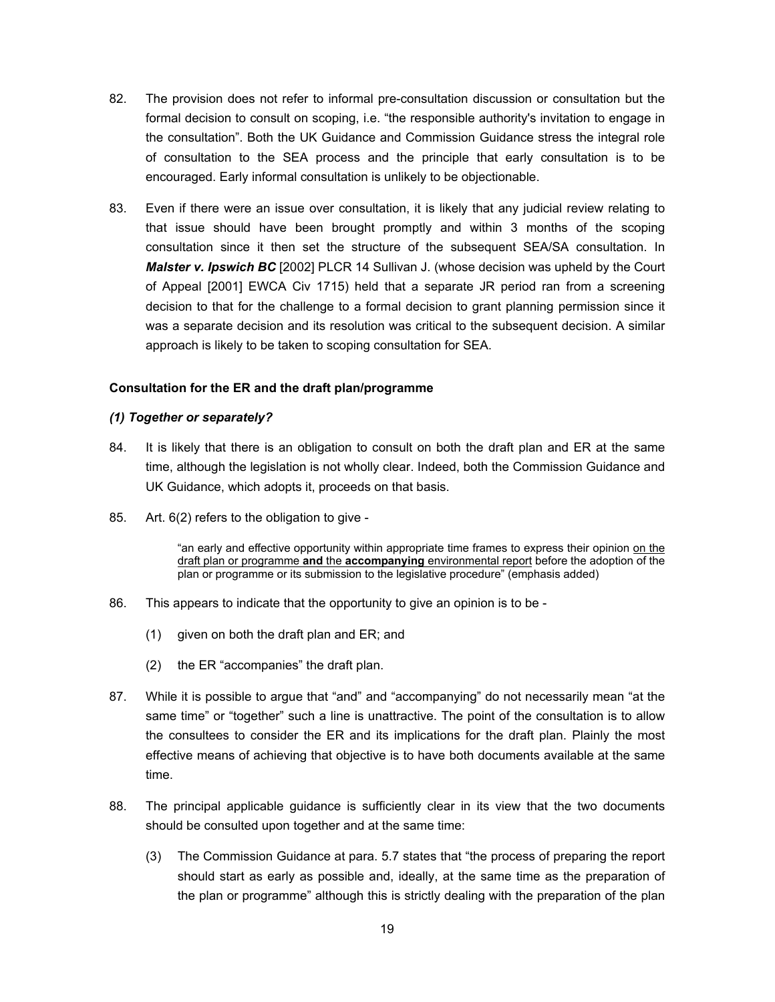- 82. The provision does not refer to informal pre-consultation discussion or consultation but the formal decision to consult on scoping, i.e. "the responsible authority's invitation to engage in the consultation". Both the UK Guidance and Commission Guidance stress the integral role of consultation to the SEA process and the principle that early consultation is to be encouraged. Early informal consultation is unlikely to be objectionable.
- 83. Even if there were an issue over consultation, it is likely that any judicial review relating to that issue should have been brought promptly and within 3 months of the scoping consultation since it then set the structure of the subsequent SEA/SA consultation. In *Malster v. Ipswich BC* [2002] PLCR 14 Sullivan J. (whose decision was upheld by the Court of Appeal [2001] EWCA Civ 1715) held that a separate JR period ran from a screening decision to that for the challenge to a formal decision to grant planning permission since it was a separate decision and its resolution was critical to the subsequent decision. A similar approach is likely to be taken to scoping consultation for SEA.

#### **Consultation for the ER and the draft plan/programme**

#### *(1) Together or separately?*

- 84. It is likely that there is an obligation to consult on both the draft plan and ER at the same time, although the legislation is not wholly clear. Indeed, both the Commission Guidance and UK Guidance, which adopts it, proceeds on that basis.
- 85. Art. 6(2) refers to the obligation to give -

"an early and effective opportunity within appropriate time frames to express their opinion on the draft plan or programme **and** the **accompanying** environmental report before the adoption of the plan or programme or its submission to the legislative procedure" (emphasis added)

- 86. This appears to indicate that the opportunity to give an opinion is to be
	- (1) given on both the draft plan and ER; and
	- (2) the ER "accompanies" the draft plan.
- 87. While it is possible to argue that "and" and "accompanying" do not necessarily mean "at the same time" or "together" such a line is unattractive. The point of the consultation is to allow the consultees to consider the ER and its implications for the draft plan. Plainly the most effective means of achieving that objective is to have both documents available at the same time.
- 88. The principal applicable guidance is sufficiently clear in its view that the two documents should be consulted upon together and at the same time:
	- (3) The Commission Guidance at para. 5.7 states that "the process of preparing the report should start as early as possible and, ideally, at the same time as the preparation of the plan or programme" although this is strictly dealing with the preparation of the plan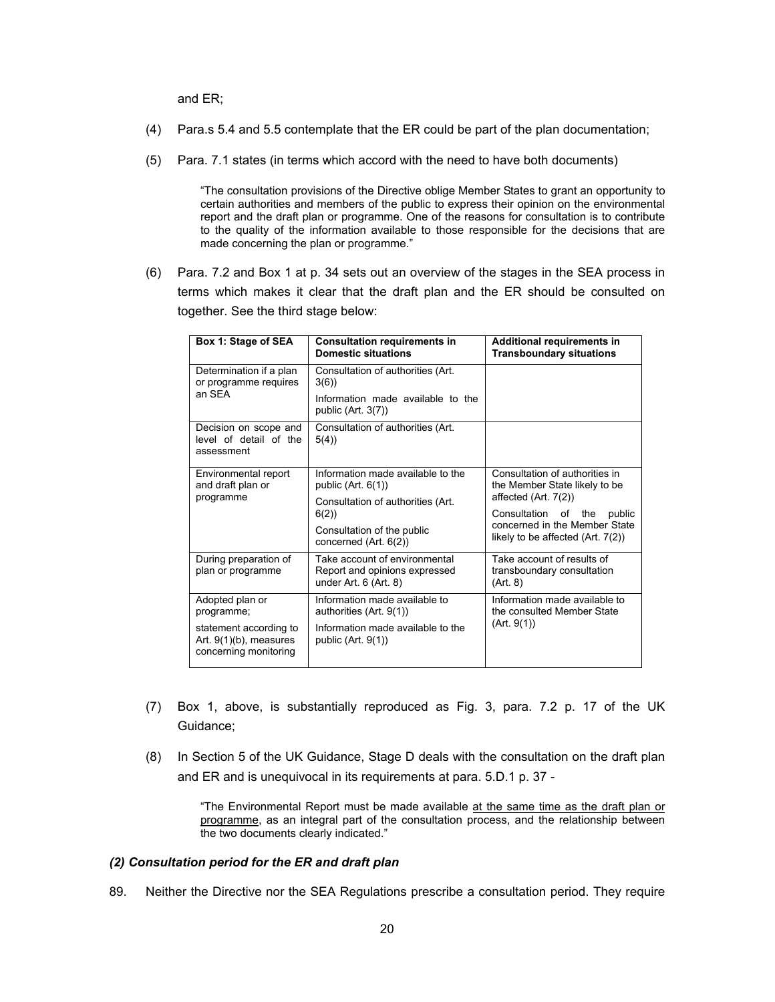and ER;

- (4) Para.s 5.4 and 5.5 contemplate that the ER could be part of the plan documentation;
- (5) Para. 7.1 states (in terms which accord with the need to have both documents)

"The consultation provisions of the Directive oblige Member States to grant an opportunity to certain authorities and members of the public to express their opinion on the environmental report and the draft plan or programme. One of the reasons for consultation is to contribute to the quality of the information available to those responsible for the decisions that are made concerning the plan or programme."

(6) Para. 7.2 and Box 1 at p. 34 sets out an overview of the stages in the SEA process in terms which makes it clear that the draft plan and the ER should be consulted on together. See the third stage below:

| Box 1: Stage of SEA                                                          | <b>Consultation requirements in</b><br><b>Domestic situations</b>                            | Additional requirements in<br><b>Transboundary situations</b>                                                                                                                                    |
|------------------------------------------------------------------------------|----------------------------------------------------------------------------------------------|--------------------------------------------------------------------------------------------------------------------------------------------------------------------------------------------------|
| Determination if a plan<br>or programme requires<br>an SEA                   | Consultation of authorities (Art.<br>3(6)                                                    |                                                                                                                                                                                                  |
|                                                                              | Information made available to the<br>public $(Art. 3(7))$                                    |                                                                                                                                                                                                  |
| Decision on scope and<br>level of detail of the<br>assessment                | Consultation of authorities (Art.<br>5(4)                                                    |                                                                                                                                                                                                  |
| Environmental report<br>and draft plan or<br>programme                       | Information made available to the<br>public $(Art. 6(1))$                                    | Consultation of authorities in<br>the Member State likely to be<br>affected (Art. 7(2))<br>Consultation of the<br>public<br>concerned in the Member State<br>likely to be affected $(Art. 7(2))$ |
|                                                                              | Consultation of authorities (Art.<br>6(2)                                                    |                                                                                                                                                                                                  |
|                                                                              | Consultation of the public<br>concerned (Art. 6(2))                                          |                                                                                                                                                                                                  |
| During preparation of<br>plan or programme                                   | Take account of environmental<br>Report and opinions expressed<br>under Art. $6$ (Art. $8$ ) | Take account of results of<br>transboundary consultation<br>(Art. 8)                                                                                                                             |
| Adopted plan or<br>programme;                                                | Information made available to<br>authorities (Art. 9(1))                                     | Information made available to<br>the consulted Member State<br>(Art. 9(1))                                                                                                                       |
| statement according to<br>Art. $9(1)(b)$ , measures<br>concerning monitoring | Information made available to the<br>public $(Art. 9(1))$                                    |                                                                                                                                                                                                  |

- (7) Box 1, above, is substantially reproduced as Fig. 3, para. 7.2 p. 17 of the UK Guidance;
- (8) In Section 5 of the UK Guidance, Stage D deals with the consultation on the draft plan and ER and is unequivocal in its requirements at para. 5.D.1 p. 37 -

"The Environmental Report must be made available at the same time as the draft plan or programme, as an integral part of the consultation process, and the relationship between the two documents clearly indicated."

#### *(2) Consultation period for the ER and draft plan*

89. Neither the Directive nor the SEA Regulations prescribe a consultation period. They require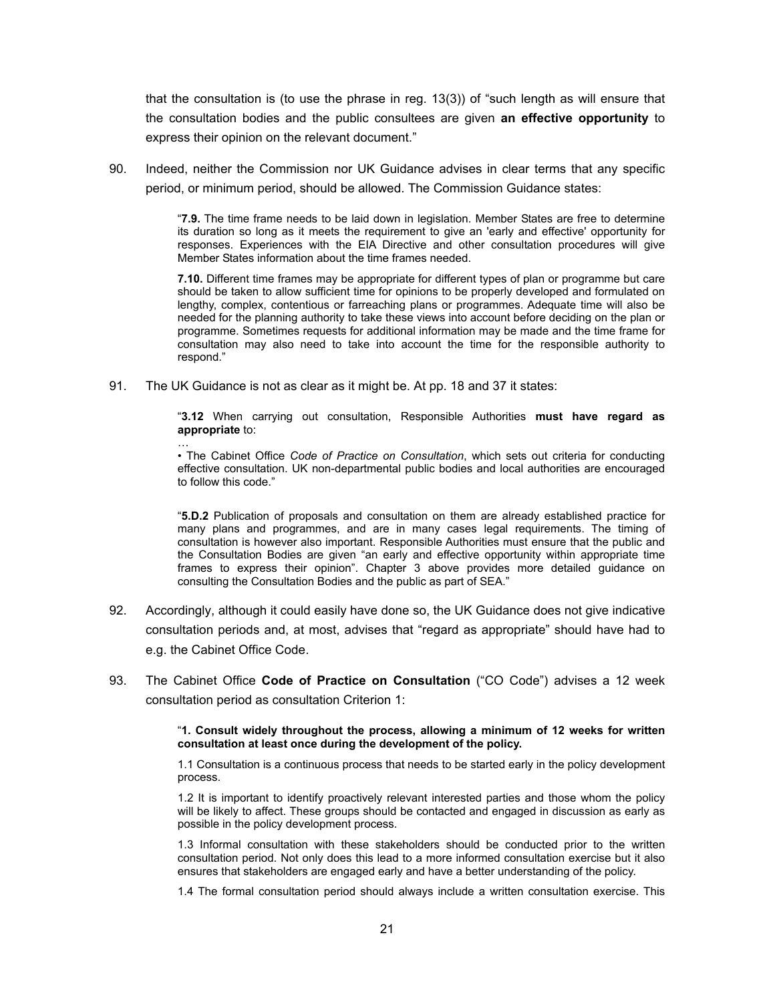that the consultation is (to use the phrase in reg. 13(3)) of "such length as will ensure that the consultation bodies and the public consultees are given **an effective opportunity** to express their opinion on the relevant document."

90. Indeed, neither the Commission nor UK Guidance advises in clear terms that any specific period, or minimum period, should be allowed. The Commission Guidance states:

> "**7.9.** The time frame needs to be laid down in legislation. Member States are free to determine its duration so long as it meets the requirement to give an 'early and effective' opportunity for responses. Experiences with the EIA Directive and other consultation procedures will give Member States information about the time frames needed.

> **7.10.** Different time frames may be appropriate for different types of plan or programme but care should be taken to allow sufficient time for opinions to be properly developed and formulated on lengthy, complex, contentious or farreaching plans or programmes. Adequate time will also be needed for the planning authority to take these views into account before deciding on the plan or programme. Sometimes requests for additional information may be made and the time frame for consultation may also need to take into account the time for the responsible authority to respond."

91. The UK Guidance is not as clear as it might be. At pp. 18 and 37 it states:

"**3.12** When carrying out consultation, Responsible Authorities **must have regard as appropriate** to:

… • The Cabinet Office *Code of Practice on Consultation*, which sets out criteria for conducting effective consultation. UK non-departmental public bodies and local authorities are encouraged to follow this code."

"**5.D.2** Publication of proposals and consultation on them are already established practice for many plans and programmes, and are in many cases legal requirements. The timing of consultation is however also important. Responsible Authorities must ensure that the public and the Consultation Bodies are given "an early and effective opportunity within appropriate time frames to express their opinion". Chapter 3 above provides more detailed guidance on consulting the Consultation Bodies and the public as part of SEA."

- 92. Accordingly, although it could easily have done so, the UK Guidance does not give indicative consultation periods and, at most, advises that "regard as appropriate" should have had to e.g. the Cabinet Office Code.
- 93. The Cabinet Office **Code of Practice on Consultation** ("CO Code") advises a 12 week consultation period as consultation Criterion 1:

"**1. Consult widely throughout the process, allowing a minimum of 12 weeks for written consultation at least once during the development of the policy.**

1.1 Consultation is a continuous process that needs to be started early in the policy development process.

1.2 It is important to identify proactively relevant interested parties and those whom the policy will be likely to affect. These groups should be contacted and engaged in discussion as early as possible in the policy development process.

1.3 Informal consultation with these stakeholders should be conducted prior to the written consultation period. Not only does this lead to a more informed consultation exercise but it also ensures that stakeholders are engaged early and have a better understanding of the policy.

1.4 The formal consultation period should always include a written consultation exercise. This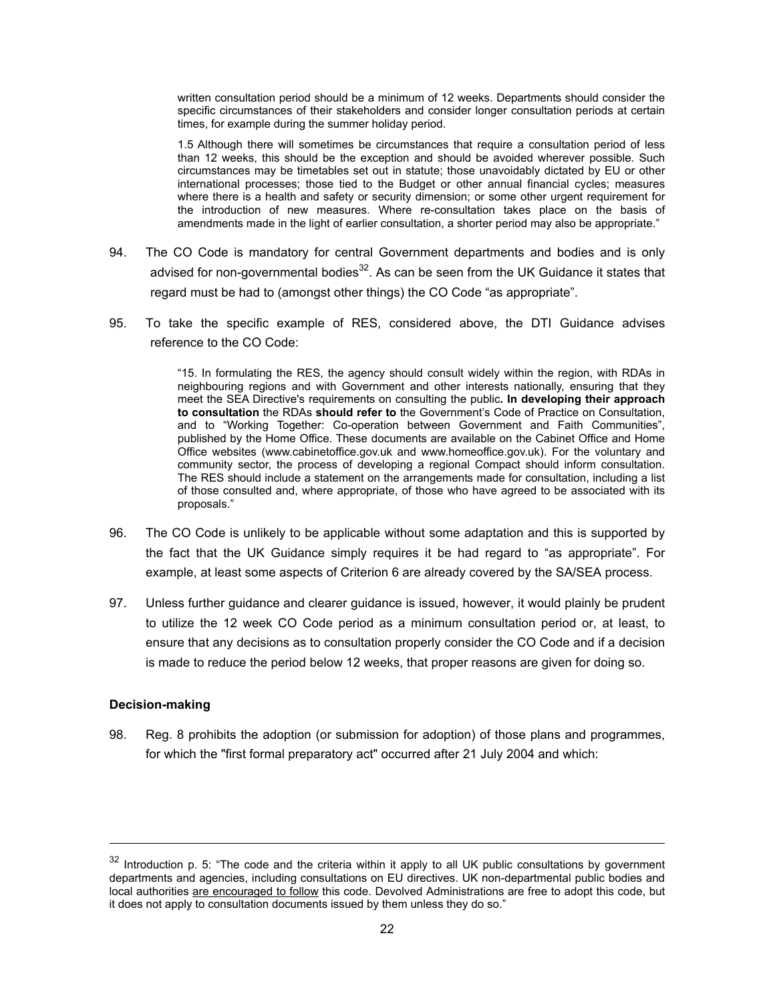written consultation period should be a minimum of 12 weeks. Departments should consider the specific circumstances of their stakeholders and consider longer consultation periods at certain times, for example during the summer holiday period.

1.5 Although there will sometimes be circumstances that require a consultation period of less than 12 weeks, this should be the exception and should be avoided wherever possible. Such circumstances may be timetables set out in statute; those unavoidably dictated by EU or other international processes; those tied to the Budget or other annual financial cycles; measures where there is a health and safety or security dimension; or some other urgent requirement for the introduction of new measures. Where re-consultation takes place on the basis of amendments made in the light of earlier consultation, a shorter period may also be appropriate."

- 94. The CO Code is mandatory for central Government departments and bodies and is only advised for non-governmental bodies $32$ . As can be seen from the UK Guidance it states that regard must be had to (amongst other things) the CO Code "as appropriate".
- 95. To take the specific example of RES, considered above, the DTI Guidance advises reference to the CO Code:

"15. In formulating the RES, the agency should consult widely within the region, with RDAs in neighbouring regions and with Government and other interests nationally, ensuring that they meet the SEA Directive's requirements on consulting the public**. In developing their approach to consultation** the RDAs **should refer to** the Government's Code of Practice on Consultation, and to "Working Together: Co-operation between Government and Faith Communities", published by the Home Office. These documents are available on the Cabinet Office and Home Office websites (www.cabinetoffice.gov.uk and www.homeoffice.gov.uk). For the voluntary and community sector, the process of developing a regional Compact should inform consultation. The RES should include a statement on the arrangements made for consultation, including a list of those consulted and, where appropriate, of those who have agreed to be associated with its proposals."

- 96. The CO Code is unlikely to be applicable without some adaptation and this is supported by the fact that the UK Guidance simply requires it be had regard to "as appropriate". For example, at least some aspects of Criterion 6 are already covered by the SA/SEA process.
- 97. Unless further guidance and clearer guidance is issued, however, it would plainly be prudent to utilize the 12 week CO Code period as a minimum consultation period or, at least, to ensure that any decisions as to consultation properly consider the CO Code and if a decision is made to reduce the period below 12 weeks, that proper reasons are given for doing so.

#### **Decision-making**

l

98. Reg. 8 prohibits the adoption (or submission for adoption) of those plans and programmes, for which the "first formal preparatory act" occurred after 21 July 2004 and which:

<sup>&</sup>lt;sup>32</sup> Introduction p. 5: "The code and the criteria within it apply to all UK public consultations by government departments and agencies, including consultations on EU directives. UK non-departmental public bodies and local authorities are encouraged to follow this code. Devolved Administrations are free to adopt this code, but it does not apply to consultation documents issued by them unless they do so."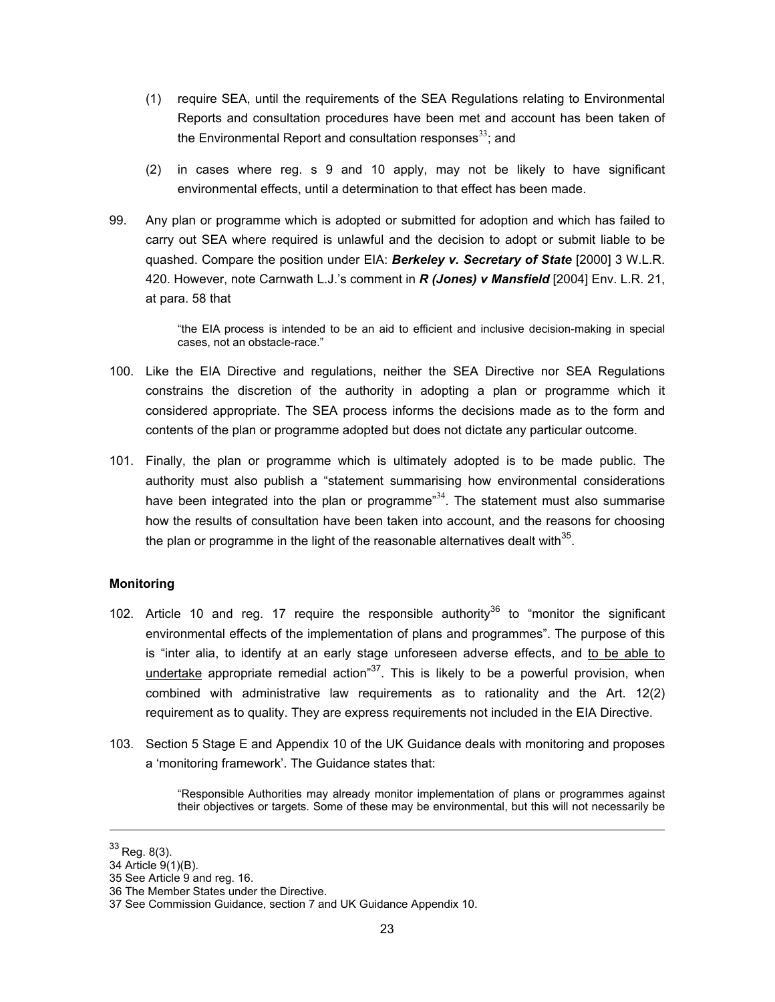- (1) require SEA, until the requirements of the SEA Regulations relating to Environmental Reports and consultation procedures have been met and account has been taken of the Environmental Report and consultation responses $^{33}$ ; and
- (2) in cases where reg. s 9 and 10 apply, may not be likely to have significant environmental effects, until a determination to that effect has been made.
- 99. Any plan or programme which is adopted or submitted for adoption and which has failed to carry out SEA where required is unlawful and the decision to adopt or submit liable to be quashed. Compare the position under EIA: *Berkeley v. Secretary of State* [2000] 3 W.L.R. 420. However, note Carnwath L.J.'s comment in *R (Jones) v Mansfield* [2004] Env. L.R. 21, at para. 58 that

"the EIA process is intended to be an aid to efficient and inclusive decision-making in special cases, not an obstacle-race."

- 100. Like the EIA Directive and regulations, neither the SEA Directive nor SEA Regulations constrains the discretion of the authority in adopting a plan or programme which it considered appropriate. The SEA process informs the decisions made as to the form and contents of the plan or programme adopted but does not dictate any particular outcome.
- 101. Finally, the plan or programme which is ultimately adopted is to be made public. The authority must also publish a "statement summarising how environmental considerations have been integrated into the plan or programme"<sup>34</sup>. The statement must also summarise how the results of consultation have been taken into account, and the reasons for choosing the plan or programme in the light of the reasonable alternatives dealt with $35$ .

#### **Monitoring**

- 102. Article 10 and reg. 17 require the responsible authority<sup>36</sup> to "monitor the significant environmental effects of the implementation of plans and programmes". The purpose of this is "inter alia, to identify at an early stage unforeseen adverse effects, and to be able to undertake appropriate remedial action<sup>"37</sup>. This is likely to be a powerful provision, when combined with administrative law requirements as to rationality and the Art. 12(2) requirement as to quality. They are express requirements not included in the EIA Directive.
- 103. Section 5 Stage E and Appendix 10 of the UK Guidance deals with monitoring and proposes a 'monitoring framework'. The Guidance states that:

"Responsible Authorities may already monitor implementation of plans or programmes against their objectives or targets. Some of these may be environmental, but this will not necessarily be

 $33$  Reg. 8(3).

<sup>34</sup> Article 9(1)(B).

<sup>35</sup> See Article 9 and reg. 16.

<sup>36</sup> The Member States under the Directive.

<sup>37</sup> See Commission Guidance, section 7 and UK Guidance Appendix 10.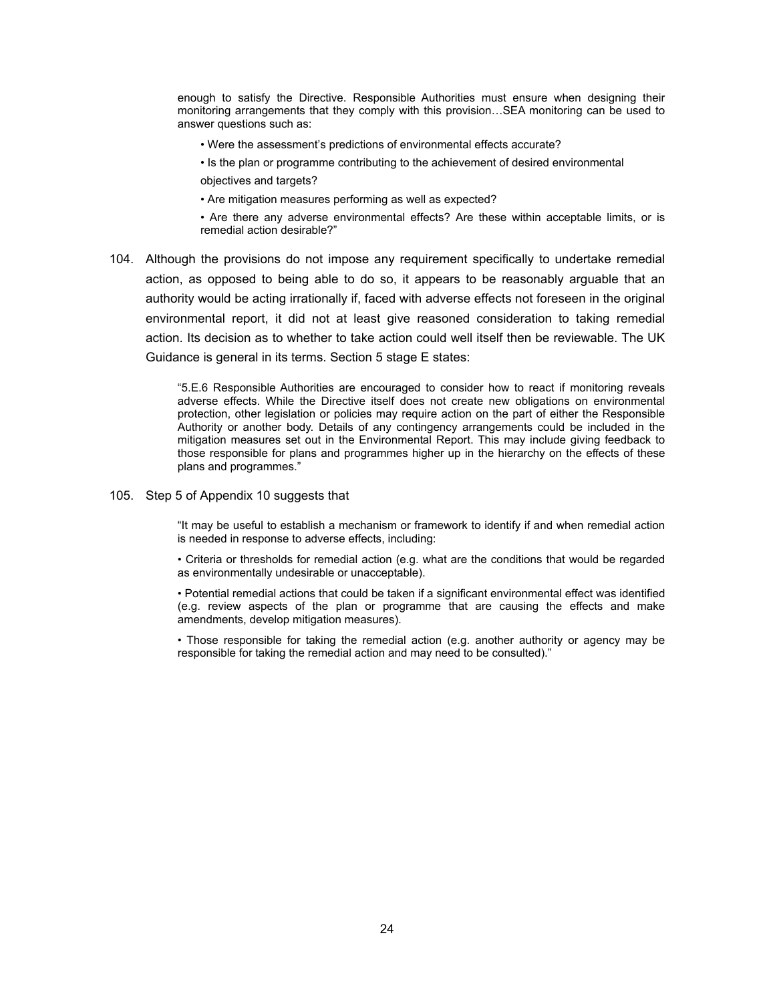enough to satisfy the Directive. Responsible Authorities must ensure when designing their monitoring arrangements that they comply with this provision…SEA monitoring can be used to answer questions such as:

• Were the assessment's predictions of environmental effects accurate?

• Is the plan or programme contributing to the achievement of desired environmental objectives and targets?

• Are mitigation measures performing as well as expected?

• Are there any adverse environmental effects? Are these within acceptable limits, or is remedial action desirable?"

104. Although the provisions do not impose any requirement specifically to undertake remedial action, as opposed to being able to do so, it appears to be reasonably arguable that an authority would be acting irrationally if, faced with adverse effects not foreseen in the original environmental report, it did not at least give reasoned consideration to taking remedial action. Its decision as to whether to take action could well itself then be reviewable. The UK Guidance is general in its terms. Section 5 stage E states:

> "5.E.6 Responsible Authorities are encouraged to consider how to react if monitoring reveals adverse effects. While the Directive itself does not create new obligations on environmental protection, other legislation or policies may require action on the part of either the Responsible Authority or another body. Details of any contingency arrangements could be included in the mitigation measures set out in the Environmental Report. This may include giving feedback to those responsible for plans and programmes higher up in the hierarchy on the effects of these plans and programmes."

105. Step 5 of Appendix 10 suggests that

"It may be useful to establish a mechanism or framework to identify if and when remedial action is needed in response to adverse effects, including:

• Criteria or thresholds for remedial action (e.g. what are the conditions that would be regarded as environmentally undesirable or unacceptable).

• Potential remedial actions that could be taken if a significant environmental effect was identified (e.g. review aspects of the plan or programme that are causing the effects and make amendments, develop mitigation measures).

• Those responsible for taking the remedial action (e.g. another authority or agency may be responsible for taking the remedial action and may need to be consulted)."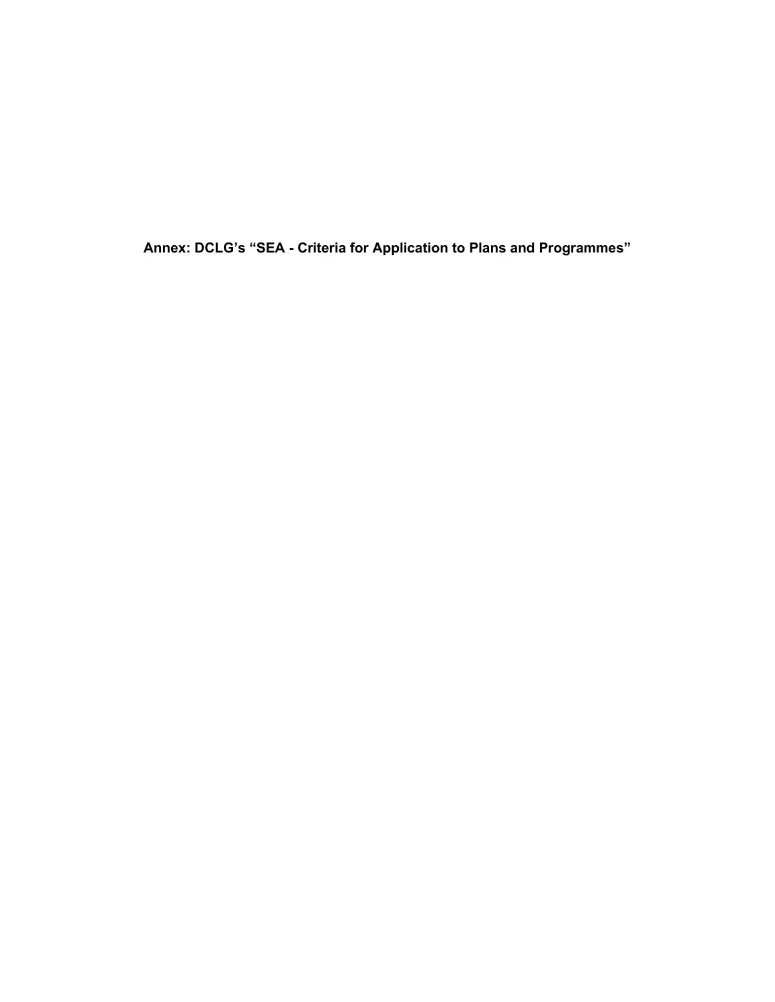**Annex: DCLG's "SEA - Criteria for Application to Plans and Programmes"**